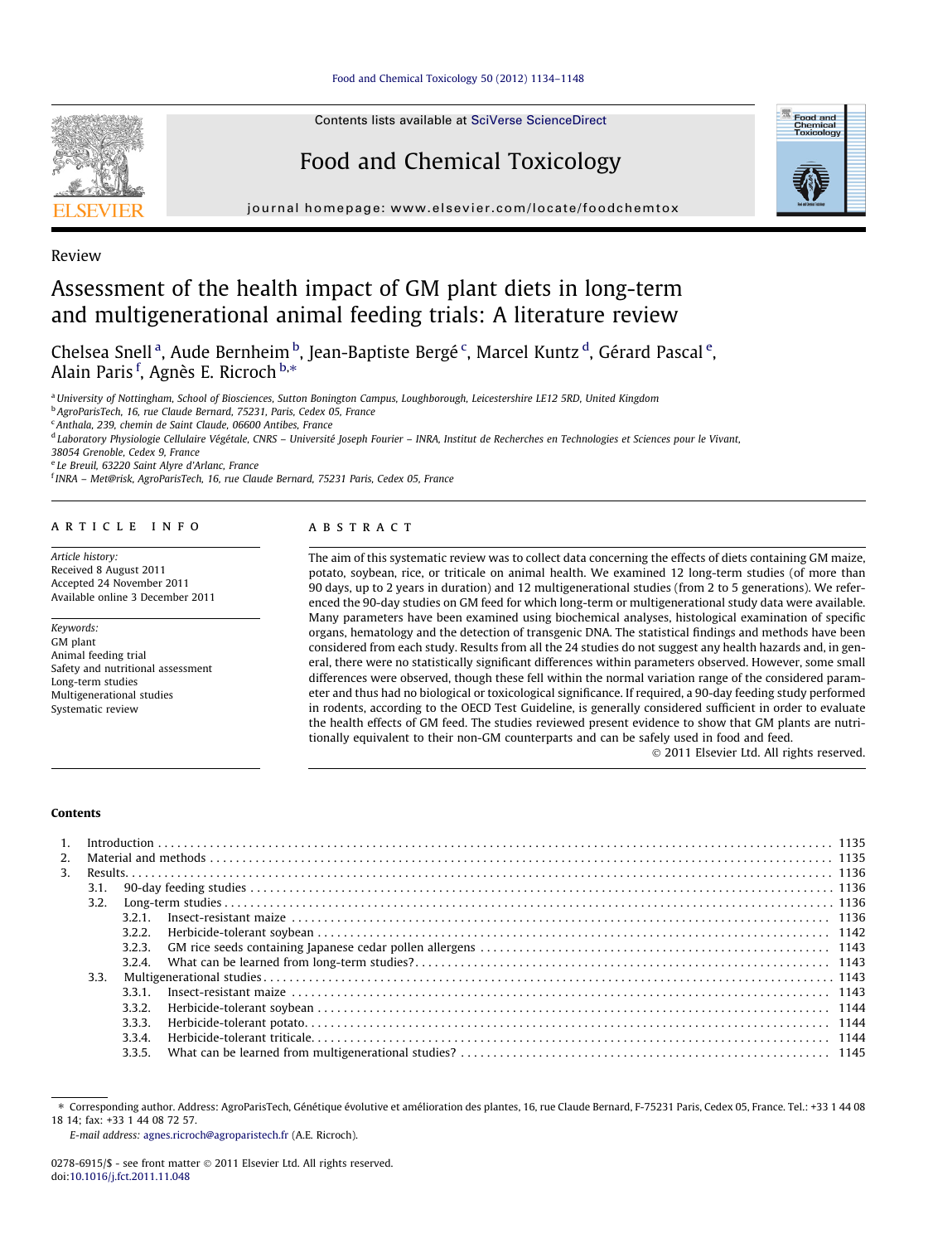[Food and Chemical Toxicology 50 \(2012\) 1134–1148](http://dx.doi.org/10.1016/j.fct.2011.11.048)



Contents lists available at [SciVerse ScienceDirect](http://www.sciencedirect.com/science/journal/02786915)

# Food and Chemical Toxicology



journal homepage: [www.elsevier.com/locate/foodchemtox](http://www.elsevier.com/locate/foodchemtox)

## Review

# Assessment of the health impact of GM plant diets in long-term and multigenerational animal feeding trials: A literature review

Chelsea Snell<sup>a</sup>, Aude Bernheim <sup>b</sup>, Jean-Baptiste Bergé <sup>c</sup>, Marcel Kuntz <sup>d</sup>, Gérard Pascal <sup>e</sup>, Alain Paris <sup>f</sup>, Agnès E. Ricroch <sup>b,</sup>\*

a University of Nottingham, School of Biosciences, Sutton Bonington Campus, Loughborough, Leicestershire LE12 5RD, United Kingdom

<sup>b</sup> AgroParisTech, 16, rue Claude Bernard, 75231, Paris, Cedex 05, France

<sup>c</sup> Anthala, 239, chemin de Saint Claude, 06600 Antibes, France

<sup>d</sup> Laboratory Physiologie Cellulaire Végétale, CNRS – Université Joseph Fourier – INRA, Institut de Recherches en Technologies et Sciences pour le Vivant,

38054 Grenoble, Cedex 9, France

<sup>e</sup> Le Breuil, 63220 Saint Alyre d'Arlanc, France

<sup>f</sup> INRA – Met@risk, AgroParisTech, 16, rue Claude Bernard, 75231 Paris, Cedex 05, France

## article info

Article history: Received 8 August 2011 Accepted 24 November 2011 Available online 3 December 2011

Keywords: GM plant Animal feeding trial Safety and nutritional assessment Long-term studies Multigenerational studies Systematic review

## **ABSTRACT**

The aim of this systematic review was to collect data concerning the effects of diets containing GM maize, potato, soybean, rice, or triticale on animal health. We examined 12 long-term studies (of more than 90 days, up to 2 years in duration) and 12 multigenerational studies (from 2 to 5 generations). We referenced the 90-day studies on GM feed for which long-term or multigenerational study data were available. Many parameters have been examined using biochemical analyses, histological examination of specific organs, hematology and the detection of transgenic DNA. The statistical findings and methods have been considered from each study. Results from all the 24 studies do not suggest any health hazards and, in general, there were no statistically significant differences within parameters observed. However, some small differences were observed, though these fell within the normal variation range of the considered parameter and thus had no biological or toxicological significance. If required, a 90-day feeding study performed in rodents, according to the OECD Test Guideline, is generally considered sufficient in order to evaluate the health effects of GM feed. The studies reviewed present evidence to show that GM plants are nutritionally equivalent to their non-GM counterparts and can be safely used in food and feed.

- 2011 Elsevier Ltd. All rights reserved.

#### **Contents**

| 3.1. |        |  |
|------|--------|--|
| 3.2. |        |  |
|      | 3.2.1  |  |
|      |        |  |
|      |        |  |
|      |        |  |
| 3.3. |        |  |
|      | 3.3.1  |  |
|      | 3.3.2. |  |
|      | 3.3.3. |  |
|      | 3.3.4  |  |
|      |        |  |

E-mail address: [agnes.ricroch@agroparistech.fr](mailto:agnes.ricroch@agroparistech.fr) (A.E. Ricroch).

<sup>⇑</sup> Corresponding author. Address: AgroParisTech, Génétique évolutive et amélioration des plantes, 16, rue Claude Bernard, F-75231 Paris, Cedex 05, France. Tel.: +33 1 44 08 18 14; fax: +33 1 44 08 72 57.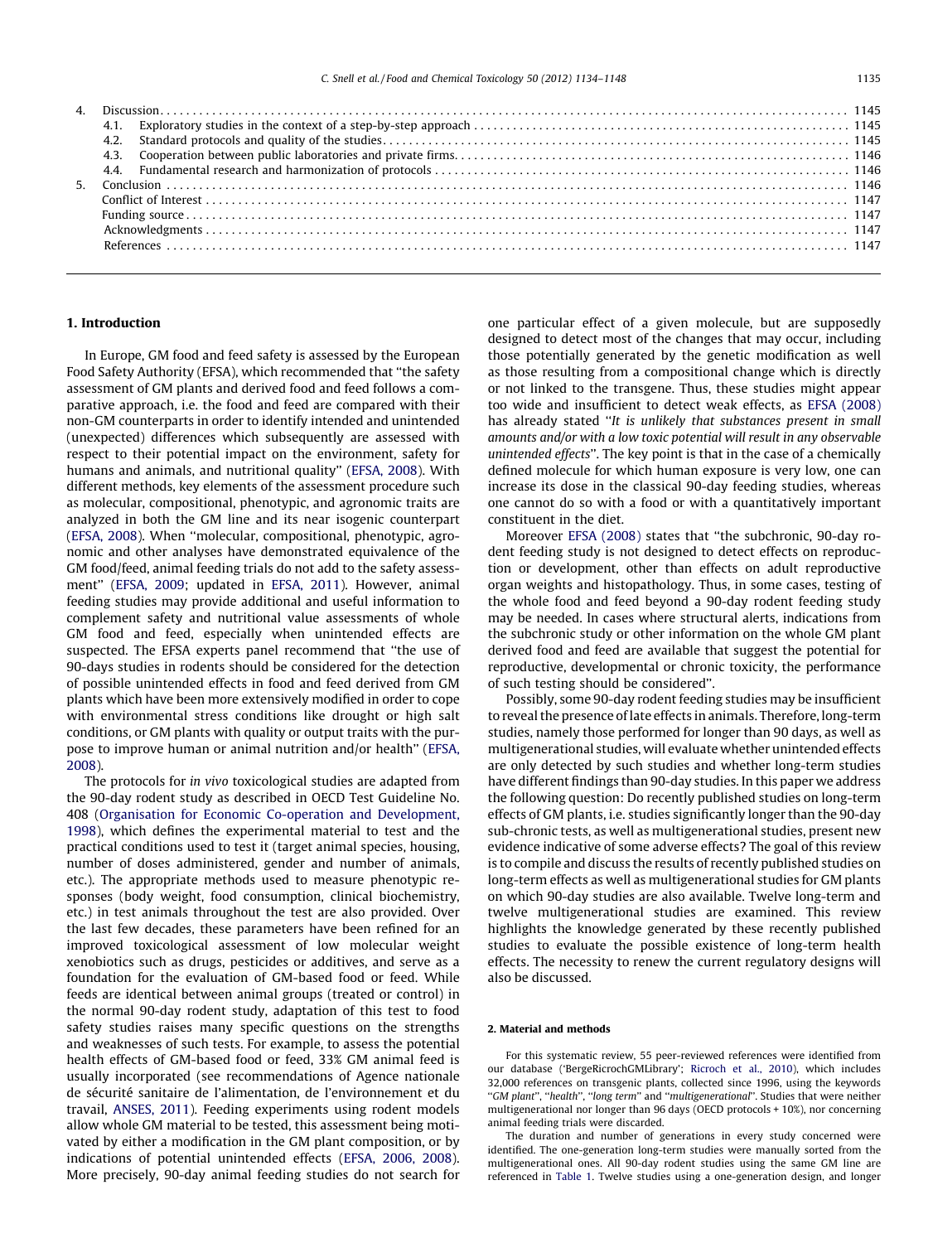### 1. Introduction

In Europe, GM food and feed safety is assessed by the European Food Safety Authority (EFSA), which recommended that ''the safety assessment of GM plants and derived food and feed follows a comparative approach, i.e. the food and feed are compared with their non-GM counterparts in order to identify intended and unintended (unexpected) differences which subsequently are assessed with respect to their potential impact on the environment, safety for humans and animals, and nutritional quality'' [\(EFSA, 2008\)](#page-13-0). With different methods, key elements of the assessment procedure such as molecular, compositional, phenotypic, and agronomic traits are analyzed in both the GM line and its near isogenic counterpart ([EFSA, 2008\)](#page-13-0). When ''molecular, compositional, phenotypic, agronomic and other analyses have demonstrated equivalence of the GM food/feed, animal feeding trials do not add to the safety assessment'' ([EFSA, 2009;](#page-13-0) updated in [EFSA, 2011](#page-13-0)). However, animal feeding studies may provide additional and useful information to complement safety and nutritional value assessments of whole GM food and feed, especially when unintended effects are suspected. The EFSA experts panel recommend that ''the use of 90-days studies in rodents should be considered for the detection of possible unintended effects in food and feed derived from GM plants which have been more extensively modified in order to cope with environmental stress conditions like drought or high salt conditions, or GM plants with quality or output traits with the purpose to improve human or animal nutrition and/or health'' [\(EFSA,](#page-13-0) [2008](#page-13-0)).

The protocols for in vivo toxicological studies are adapted from the 90-day rodent study as described in OECD Test Guideline No. 408 ([Organisation for Economic Co-operation and Development,](#page-13-0) [1998\)](#page-13-0), which defines the experimental material to test and the practical conditions used to test it (target animal species, housing, number of doses administered, gender and number of animals, etc.). The appropriate methods used to measure phenotypic responses (body weight, food consumption, clinical biochemistry, etc.) in test animals throughout the test are also provided. Over the last few decades, these parameters have been refined for an improved toxicological assessment of low molecular weight xenobiotics such as drugs, pesticides or additives, and serve as a foundation for the evaluation of GM-based food or feed. While feeds are identical between animal groups (treated or control) in the normal 90-day rodent study, adaptation of this test to food safety studies raises many specific questions on the strengths and weaknesses of such tests. For example, to assess the potential health effects of GM-based food or feed, 33% GM animal feed is usually incorporated (see recommendations of Agence nationale de sécurité sanitaire de l'alimentation, de l'environnement et du travail, [ANSES, 2011](#page-13-0)). Feeding experiments using rodent models allow whole GM material to be tested, this assessment being motivated by either a modification in the GM plant composition, or by indications of potential unintended effects ([EFSA, 2006, 2008\)](#page-13-0). More precisely, 90-day animal feeding studies do not search for one particular effect of a given molecule, but are supposedly designed to detect most of the changes that may occur, including those potentially generated by the genetic modification as well as those resulting from a compositional change which is directly or not linked to the transgene. Thus, these studies might appear too wide and insufficient to detect weak effects, as [EFSA \(2008\)](#page-13-0) has already stated "It is unlikely that substances present in small amounts and/or with a low toxic potential will result in any observable unintended effects''. The key point is that in the case of a chemically defined molecule for which human exposure is very low, one can increase its dose in the classical 90-day feeding studies, whereas one cannot do so with a food or with a quantitatively important constituent in the diet.

Moreover [EFSA \(2008\)](#page-13-0) states that ''the subchronic, 90-day rodent feeding study is not designed to detect effects on reproduction or development, other than effects on adult reproductive organ weights and histopathology. Thus, in some cases, testing of the whole food and feed beyond a 90-day rodent feeding study may be needed. In cases where structural alerts, indications from the subchronic study or other information on the whole GM plant derived food and feed are available that suggest the potential for reproductive, developmental or chronic toxicity, the performance of such testing should be considered''.

Possibly, some 90-day rodent feeding studies may be insufficient to reveal the presence of late effects in animals. Therefore, long-term studies, namely those performed for longer than 90 days, as well as multigenerational studies, will evaluate whether unintended effects are only detected by such studies and whether long-term studies have different findings than 90-day studies. In this paper we address the following question: Do recently published studies on long-term effects of GM plants, i.e. studies significantly longer than the 90-day sub-chronic tests, as well as multigenerational studies, present new evidence indicative of some adverse effects? The goal of this review is to compile and discuss the results of recently published studies on long-term effects as well as multigenerational studies for GM plants on which 90-day studies are also available. Twelve long-term and twelve multigenerational studies are examined. This review highlights the knowledge generated by these recently published studies to evaluate the possible existence of long-term health effects. The necessity to renew the current regulatory designs will also be discussed.

#### 2. Material and methods

For this systematic review, 55 peer-reviewed references were identified from our database ('BergeRicrochGMLibrary'; [Ricroch et al., 2010](#page-14-0)), which includes 32,000 references on transgenic plants, collected since 1996, using the keywords "GM plant", "health", "long term" and "multigenerational". Studies that were neither multigenerational nor longer than 96 days (OECD protocols + 10%), nor concerning animal feeding trials were discarded.

The duration and number of generations in every study concerned were identified. The one-generation long-term studies were manually sorted from the multigenerational ones. All 90-day rodent studies using the same GM line are referenced in [Table 1](#page-2-0). Twelve studies using a one-generation design, and longer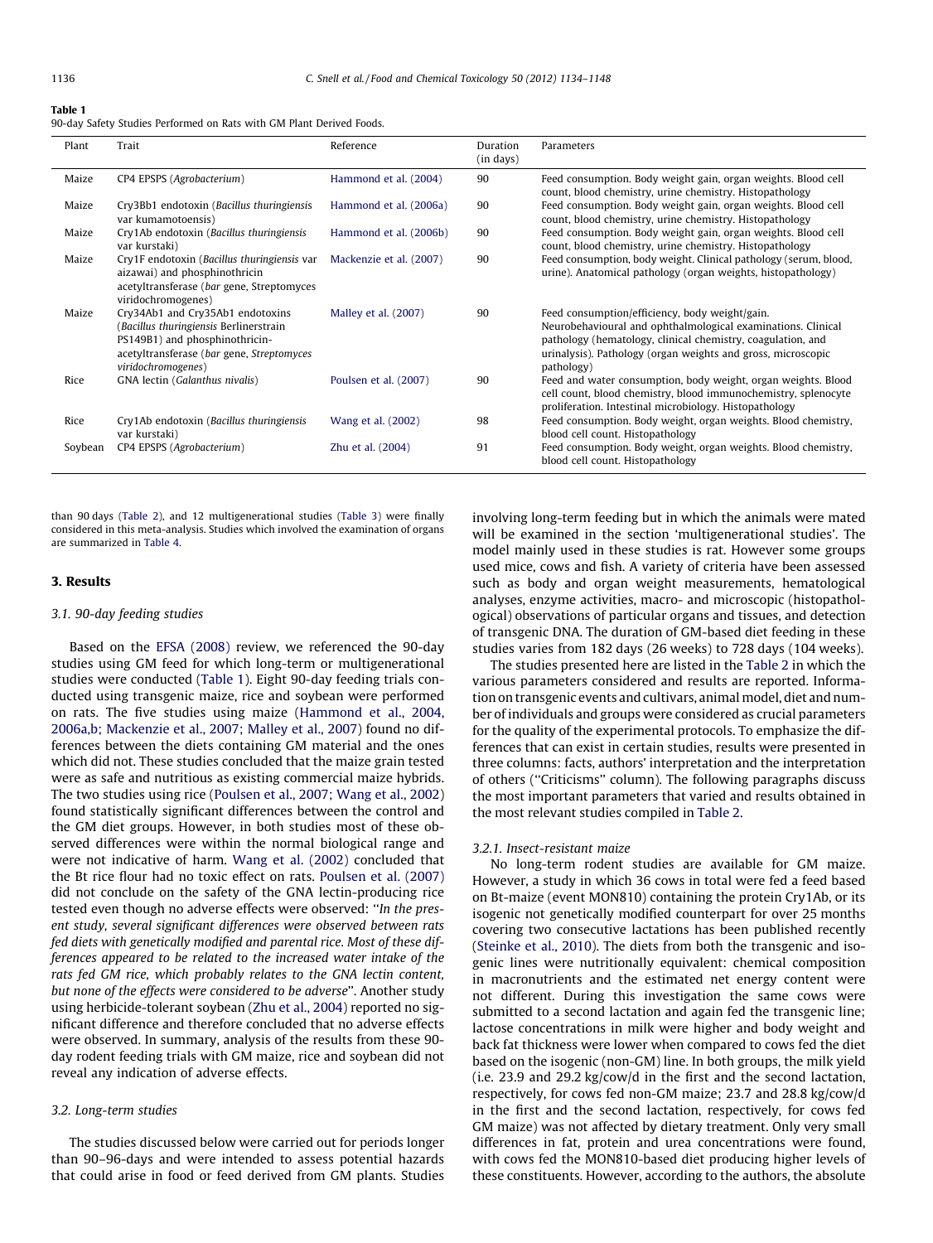#### <span id="page-2-0"></span>Table 1

90-day Safety Studies Performed on Rats with GM Plant Derived Foods.

| Plant   | Trait                                                                                                                                                                           | Reference               | Duration<br>(in days) | Parameters                                                                                                                                                                                                                                                  |
|---------|---------------------------------------------------------------------------------------------------------------------------------------------------------------------------------|-------------------------|-----------------------|-------------------------------------------------------------------------------------------------------------------------------------------------------------------------------------------------------------------------------------------------------------|
| Maize   | CP4 EPSPS (Agrobacterium)                                                                                                                                                       | Hammond et al. (2004)   | 90                    | Feed consumption. Body weight gain, organ weights. Blood cell<br>count, blood chemistry, urine chemistry. Histopathology                                                                                                                                    |
| Maize   | Cry3Bb1 endotoxin (Bacillus thuringiensis<br>var kumamotoensis)                                                                                                                 | Hammond et al. (2006a)  | 90                    | Feed consumption. Body weight gain, organ weights. Blood cell<br>count, blood chemistry, urine chemistry. Histopathology                                                                                                                                    |
| Maize   | Cry1Ab endotoxin (Bacillus thuringiensis<br>var kurstaki)                                                                                                                       | Hammond et al. (2006b)  | 90                    | Feed consumption. Body weight gain, organ weights. Blood cell<br>count, blood chemistry, urine chemistry. Histopathology                                                                                                                                    |
| Maize   | Cry1F endotoxin (Bacillus thuringiensis var<br>aizawai) and phosphinothricin<br>acetyltransferase (bar gene, Streptomyces<br>viridochromogenes)                                 | Mackenzie et al. (2007) | 90                    | Feed consumption, body weight. Clinical pathology (serum, blood,<br>urine). Anatomical pathology (organ weights, histopathology)                                                                                                                            |
| Maize   | Cry34Ab1 and Cry35Ab1 endotoxins<br>(Bacillus thuringiensis Berlinerstrain<br>PS149B1) and phosphinothricin-<br>acetyltransferase (bar gene, Streptomyces<br>viridochromogenes) | Malley et al. (2007)    | 90                    | Feed consumption/efficiency, body weight/gain.<br>Neurobehavioural and ophthalmological examinations. Clinical<br>pathology (hematology, clinical chemistry, coagulation, and<br>urinalysis). Pathology (organ weights and gross, microscopic<br>pathology) |
| Rice    | GNA lectin (Galanthus nivalis)                                                                                                                                                  | Poulsen et al. (2007)   | 90                    | Feed and water consumption, body weight, organ weights. Blood<br>cell count, blood chemistry, blood immunochemistry, splenocyte<br>proliferation. Intestinal microbiology. Histopathology                                                                   |
| Rice    | Cry1Ab endotoxin (Bacillus thuringiensis<br>var kurstaki)                                                                                                                       | Wang et al. (2002)      | 98                    | Feed consumption, Body weight, organ weights, Blood chemistry,<br>blood cell count. Histopathology                                                                                                                                                          |
| Soybean | CP4 EPSPS (Agrobacterium)                                                                                                                                                       | Zhu et al. (2004)       | 91                    | Feed consumption. Body weight, organ weights. Blood chemistry,<br>blood cell count. Histopathology                                                                                                                                                          |

than 90 days [\(Table 2](#page-3-0)), and 12 multigenerational studies ([Table 3](#page-5-0)) were finally considered in this meta-analysis. Studies which involved the examination of organs are summarized in [Table 4](#page-7-0).

## 3. Results

#### 3.1. 90-day feeding studies

Based on the [EFSA \(2008\)](#page-13-0) review, we referenced the 90-day studies using GM feed for which long-term or multigenerational studies were conducted (Table 1). Eight 90-day feeding trials conducted using transgenic maize, rice and soybean were performed on rats. The five studies using maize [\(Hammond et al., 2004,](#page-13-0) [2006a,b; Mackenzie et al., 2007; Malley et al., 2007](#page-13-0)) found no differences between the diets containing GM material and the ones which did not. These studies concluded that the maize grain tested were as safe and nutritious as existing commercial maize hybrids. The two studies using rice ([Poulsen et al., 2007; Wang et al., 2002\)](#page-13-0) found statistically significant differences between the control and the GM diet groups. However, in both studies most of these observed differences were within the normal biological range and were not indicative of harm. [Wang et al. \(2002\)](#page-14-0) concluded that the Bt rice flour had no toxic effect on rats. [Poulsen et al. \(2007\)](#page-13-0) did not conclude on the safety of the GNA lectin-producing rice tested even though no adverse effects were observed: ''In the present study, several significant differences were observed between rats fed diets with genetically modified and parental rice. Most of these differences appeared to be related to the increased water intake of the rats fed GM rice, which probably relates to the GNA lectin content, but none of the effects were considered to be adverse''. Another study using herbicide-tolerant soybean ([Zhu et al., 2004\)](#page-14-0) reported no significant difference and therefore concluded that no adverse effects were observed. In summary, analysis of the results from these 90 day rodent feeding trials with GM maize, rice and soybean did not reveal any indication of adverse effects.

### 3.2. Long-term studies

The studies discussed below were carried out for periods longer than 90–96-days and were intended to assess potential hazards that could arise in food or feed derived from GM plants. Studies involving long-term feeding but in which the animals were mated will be examined in the section 'multigenerational studies'. The model mainly used in these studies is rat. However some groups used mice, cows and fish. A variety of criteria have been assessed such as body and organ weight measurements, hematological analyses, enzyme activities, macro- and microscopic (histopathological) observations of particular organs and tissues, and detection of transgenic DNA. The duration of GM-based diet feeding in these studies varies from 182 days (26 weeks) to 728 days (104 weeks).

The studies presented here are listed in the [Table 2](#page-3-0) in which the various parameters considered and results are reported. Information on transgenic events and cultivars, animal model, diet and number of individuals and groups were considered as crucial parameters for the quality of the experimental protocols. To emphasize the differences that can exist in certain studies, results were presented in three columns: facts, authors' interpretation and the interpretation of others (''Criticisms'' column). The following paragraphs discuss the most important parameters that varied and results obtained in the most relevant studies compiled in [Table 2.](#page-3-0)

#### 3.2.1. Insect-resistant maize

No long-term rodent studies are available for GM maize. However, a study in which 36 cows in total were fed a feed based on Bt-maize (event MON810) containing the protein Cry1Ab, or its isogenic not genetically modified counterpart for over 25 months covering two consecutive lactations has been published recently ([Steinke et al., 2010\)](#page-14-0). The diets from both the transgenic and isogenic lines were nutritionally equivalent: chemical composition in macronutrients and the estimated net energy content were not different. During this investigation the same cows were submitted to a second lactation and again fed the transgenic line; lactose concentrations in milk were higher and body weight and back fat thickness were lower when compared to cows fed the diet based on the isogenic (non-GM) line. In both groups, the milk yield (i.e. 23.9 and 29.2 kg/cow/d in the first and the second lactation, respectively, for cows fed non-GM maize; 23.7 and 28.8 kg/cow/d in the first and the second lactation, respectively, for cows fed GM maize) was not affected by dietary treatment. Only very small differences in fat, protein and urea concentrations were found, with cows fed the MON810-based diet producing higher levels of these constituents. However, according to the authors, the absolute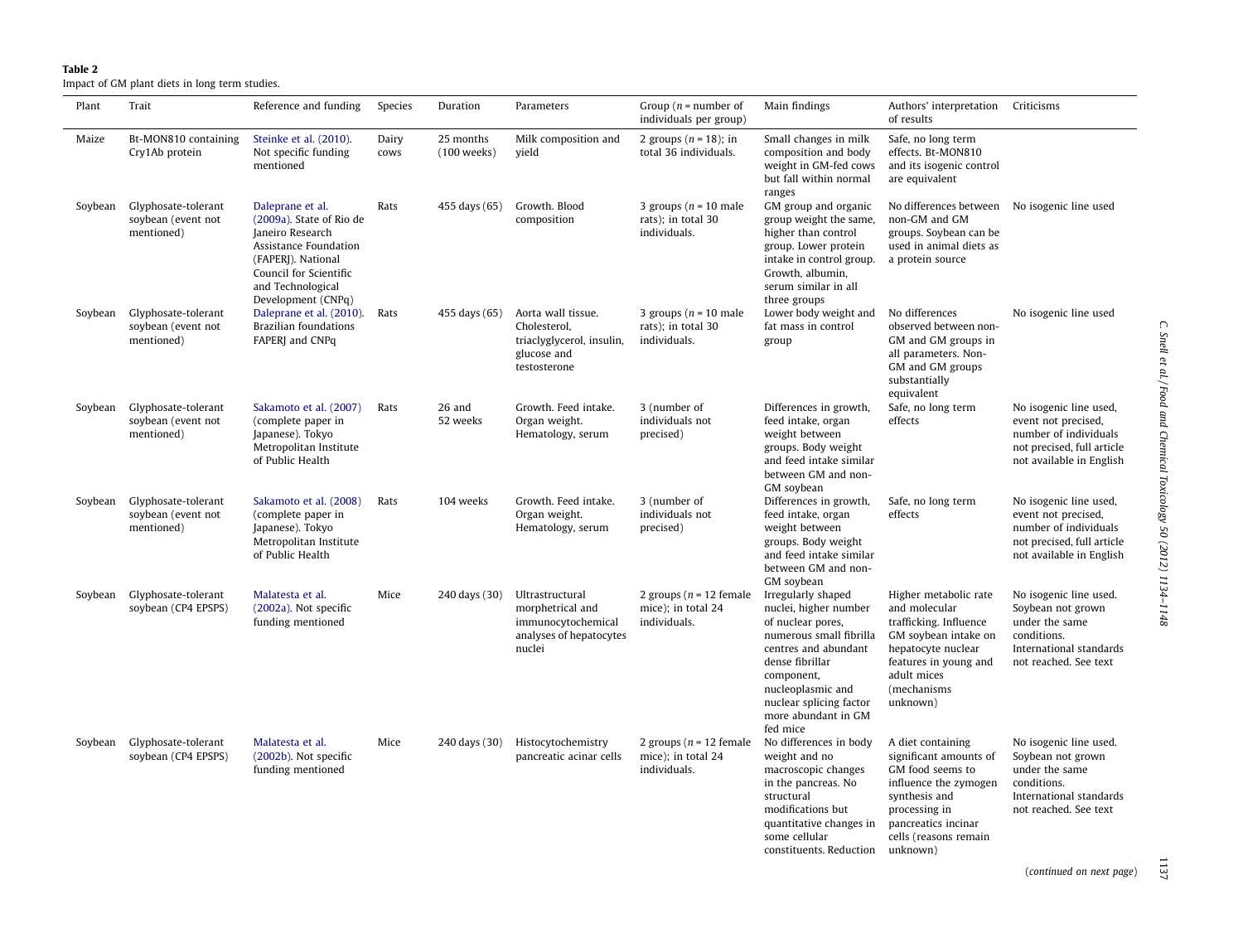#### <span id="page-3-0"></span>Table 2

Impact of GM plant diets in long term studies.

| Plant   | Trait                                                   | Reference and funding                                                                                                                                                                | Species       | Duration                   | Parameters                                                                                     | Group ( $n =$ number of<br>individuals per group)                | Main findings                                                                                                                                                                                                                           | Authors' interpretation<br>of results                                                                                                                                                  | Criticisms                                                                                                                       |
|---------|---------------------------------------------------------|--------------------------------------------------------------------------------------------------------------------------------------------------------------------------------------|---------------|----------------------------|------------------------------------------------------------------------------------------------|------------------------------------------------------------------|-----------------------------------------------------------------------------------------------------------------------------------------------------------------------------------------------------------------------------------------|----------------------------------------------------------------------------------------------------------------------------------------------------------------------------------------|----------------------------------------------------------------------------------------------------------------------------------|
| Maize   | Bt-MON810 containing<br>Cry1Ab protein                  | Steinke et al. (2010).<br>Not specific funding<br>mentioned                                                                                                                          | Dairy<br>cows | 25 months<br>$(100$ weeks) | Milk composition and<br>vield                                                                  | 2 groups $(n = 18)$ ; in<br>total 36 individuals.                | Small changes in milk<br>composition and body<br>weight in GM-fed cows<br>but fall within normal<br>ranges                                                                                                                              | Safe, no long term<br>effects. Bt-MON810<br>and its isogenic control<br>are equivalent                                                                                                 |                                                                                                                                  |
| Soybean | Glyphosate-tolerant<br>soybean (event not<br>mentioned) | Daleprane et al.<br>(2009a). State of Rio de<br>Janeiro Research<br>Assistance Foundation<br>(FAPERJ). National<br>Council for Scientific<br>and Technological<br>Development (CNPq) | Rats          | 455 days (65)              | Growth. Blood<br>composition                                                                   | 3 groups ( $n = 10$ male<br>rats); in total 30<br>individuals.   | GM group and organic<br>group weight the same,<br>higher than control<br>group. Lower protein<br>intake in control group.<br>Growth, albumin,<br>serum similar in all<br>three groups                                                   | No differences between<br>non-GM and GM<br>groups. Soybean can be<br>used in animal diets as<br>a protein source                                                                       | No isogenic line used                                                                                                            |
| Soybean | Glyphosate-tolerant<br>soybean (event not<br>mentioned) | Daleprane et al. (2010).<br>Brazilian foundations<br>FAPERJ and CNPq                                                                                                                 | Rats          | 455 days (65)              | Aorta wall tissue.<br>Cholesterol,<br>triaclyglycerol, insulin,<br>glucose and<br>testosterone | 3 groups ( $n = 10$ male<br>rats); in total 30<br>individuals.   | Lower body weight and<br>fat mass in control<br>group                                                                                                                                                                                   | No differences<br>observed between non-<br>GM and GM groups in<br>all parameters. Non-<br>GM and GM groups<br>substantially<br>equivalent                                              | No isogenic line used                                                                                                            |
| Soybean | Glyphosate-tolerant<br>soybean (event not<br>mentioned) | Sakamoto et al. (2007)<br>(complete paper in<br>Japanese). Tokyo<br>Metropolitan Institute<br>of Public Health                                                                       | Rats          | 26 and<br>52 weeks         | Growth. Feed intake.<br>Organ weight.<br>Hematology, serum                                     | 3 (number of<br>individuals not<br>precised)                     | Differences in growth,<br>feed intake, organ<br>weight between<br>groups. Body weight<br>and feed intake similar<br>between GM and non-<br>GM soybean                                                                                   | Safe, no long term<br>effects                                                                                                                                                          | No isogenic line used,<br>event not precised,<br>number of individuals<br>not precised, full article<br>not available in English |
| Soybean | Glyphosate-tolerant<br>soybean (event not<br>mentioned) | Sakamoto et al. (2008)<br>(complete paper in<br>Japanese). Tokyo<br>Metropolitan Institute<br>of Public Health                                                                       | Rats          | 104 weeks                  | Growth. Feed intake.<br>Organ weight.<br>Hematology, serum                                     | 3 (number of<br>individuals not<br>precised)                     | Differences in growth,<br>feed intake, organ<br>weight between<br>groups. Body weight<br>and feed intake similar<br>between GM and non-<br>GM soybean                                                                                   | Safe, no long term<br>effects                                                                                                                                                          | No isogenic line used,<br>event not precised,<br>number of individuals<br>not precised, full article<br>not available in English |
| Soybean | Glyphosate-tolerant<br>soybean (CP4 EPSPS)              | Malatesta et al.<br>(2002a). Not specific<br>funding mentioned                                                                                                                       | Mice          | 240 days (30)              | Ultrastructural<br>morphetrical and<br>immunocytochemical<br>analyses of hepatocytes<br>nuclei | 2 groups ( $n = 12$ female<br>mice); in total 24<br>individuals. | Irregularly shaped<br>nuclei, higher number<br>of nuclear pores,<br>numerous small fibrilla<br>centres and abundant<br>dense fibrillar<br>component,<br>nucleoplasmic and<br>nuclear splicing factor<br>more abundant in GM<br>fed mice | Higher metabolic rate<br>and molecular<br>trafficking. Influence<br>GM soybean intake on<br>hepatocyte nuclear<br>features in young and<br>adult mices<br>(mechanisms<br>unknown)      | No isogenic line used.<br>Soybean not grown<br>under the same<br>conditions.<br>International standards<br>not reached. See text |
| Soybean | Glyphosate-tolerant<br>soybean (CP4 EPSPS)              | Malatesta et al.<br>(2002b). Not specific<br>funding mentioned                                                                                                                       | Mice          | 240 days (30)              | Histocytochemistry<br>pancreatic acinar cells                                                  | 2 groups ( $n = 12$ female<br>mice); in total 24<br>individuals. | No differences in body<br>weight and no<br>macroscopic changes<br>in the pancreas. No<br>structural<br>modifications but<br>quantitative changes in<br>some cellular<br>constituents. Reduction                                         | A diet containing<br>significant amounts of<br>GM food seems to<br>influence the zymogen<br>synthesis and<br>processing in<br>pancreatics incinar<br>cells (reasons remain<br>unknown) | No isogenic line used.<br>Soybean not grown<br>under the same<br>conditions.<br>International standards<br>not reached. See text |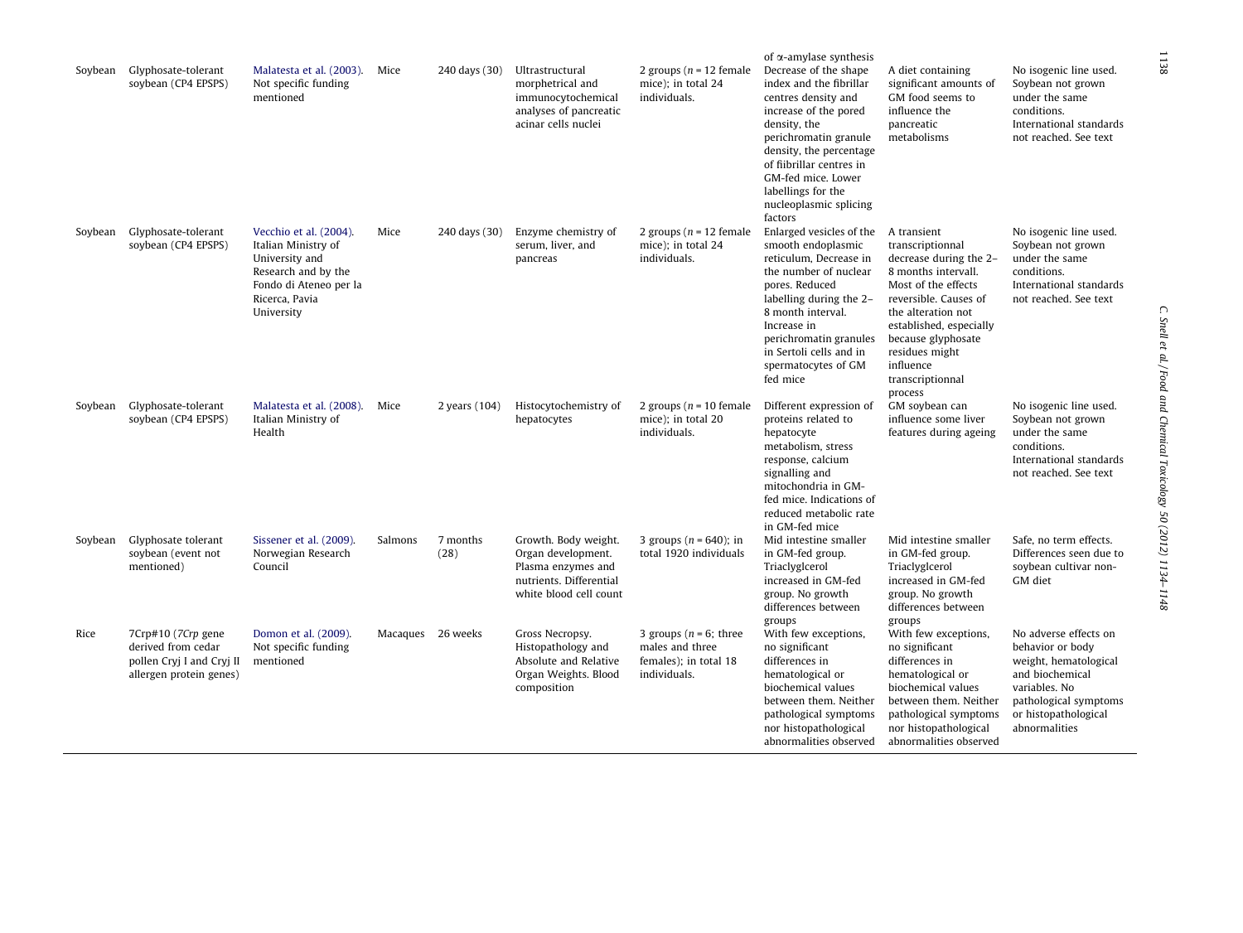| Soybean | Glyphosate-tolerant<br>soybean (CP4 EPSPS)                                                       | Malatesta et al. (2003).<br>Not specific funding<br>mentioned                                                                                    | Mice              | 240 days (30)    | Ultrastructural<br>morphetrical and<br>immunocytochemical<br>analyses of pancreatic<br>acinar cells nuclei            | 2 groups ( $n = 12$ female<br>mice); in total 24<br>individuals.                       | of $\alpha$ -amylase synthesis<br>Decrease of the shape<br>index and the fibrillar<br>centres density and<br>increase of the pored<br>density, the<br>perichromatin granule<br>density, the percentage<br>of fiibrillar centres in<br>GM-fed mice. Lower<br>labellings for the<br>nucleoplasmic splicing<br>factors | A diet containing<br>significant amounts of<br>GM food seems to<br>influence the<br>pancreatic<br>metabolisms                                                                                                                                                         | No isogenic line used.<br>Soybean not grown<br>under the same<br>conditions.<br>International standards<br>not reached. See text                                         |
|---------|--------------------------------------------------------------------------------------------------|--------------------------------------------------------------------------------------------------------------------------------------------------|-------------------|------------------|-----------------------------------------------------------------------------------------------------------------------|----------------------------------------------------------------------------------------|---------------------------------------------------------------------------------------------------------------------------------------------------------------------------------------------------------------------------------------------------------------------------------------------------------------------|-----------------------------------------------------------------------------------------------------------------------------------------------------------------------------------------------------------------------------------------------------------------------|--------------------------------------------------------------------------------------------------------------------------------------------------------------------------|
| Soybean | Glyphosate-tolerant<br>soybean (CP4 EPSPS)                                                       | Vecchio et al. (2004).<br>Italian Ministry of<br>University and<br>Research and by the<br>Fondo di Ateneo per la<br>Ricerca, Pavia<br>University | Mice              | 240 days (30)    | Enzyme chemistry of<br>serum, liver, and<br>pancreas                                                                  | 2 groups ( $n = 12$ female<br>mice); in total 24<br>individuals.                       | Enlarged vesicles of the<br>smooth endoplasmic<br>reticulum, Decrease in<br>the number of nuclear<br>pores. Reduced<br>labelling during the 2-<br>8 month interval.<br>Increase in<br>perichromatin granules<br>in Sertoli cells and in<br>spermatocytes of GM<br>fed mice                                          | A transient<br>transcriptionnal<br>decrease during the 2-<br>8 months intervall.<br>Most of the effects<br>reversible. Causes of<br>the alteration not<br>established, especially<br>because glyphosate<br>residues might<br>influence<br>transcriptionnal<br>process | No isogenic line used.<br>Soybean not grown<br>under the same<br>conditions.<br>International standards<br>not reached. See text                                         |
| Soybean | Glyphosate-tolerant<br>soybean (CP4 EPSPS)                                                       | Malatesta et al. (2008).<br>Italian Ministry of<br>Health                                                                                        | Mice              | 2 years (104)    | Histocytochemistry of<br>hepatocytes                                                                                  | 2 groups ( $n = 10$ female<br>mice); in total 20<br>individuals.                       | Different expression of<br>proteins related to<br>hepatocyte<br>metabolism, stress<br>response, calcium<br>signalling and<br>mitochondria in GM-<br>fed mice. Indications of<br>reduced metabolic rate<br>in GM-fed mice                                                                                            | GM soybean can<br>influence some liver<br>features during ageing                                                                                                                                                                                                      | No isogenic line used.<br>Soybean not grown<br>under the same<br>conditions.<br>International standards<br>not reached. See text                                         |
| Soybean | Glyphosate tolerant<br>soybean (event not<br>mentioned)                                          | Sissener et al. (2009).<br>Norwegian Research<br>Council                                                                                         | Salmons           | 7 months<br>(28) | Growth. Body weight.<br>Organ development.<br>Plasma enzymes and<br>nutrients. Differential<br>white blood cell count | 3 groups ( $n = 640$ ); in<br>total 1920 individuals                                   | Mid intestine smaller<br>in GM-fed group.<br>Triaclyglcerol<br>increased in GM-fed<br>group. No growth<br>differences between<br>groups                                                                                                                                                                             | Mid intestine smaller<br>in GM-fed group.<br>Triaclyglcerol<br>increased in GM-fed<br>group. No growth<br>differences between<br>groups                                                                                                                               | Safe, no term effects.<br>Differences seen due to<br>soybean cultivar non-<br>GM diet                                                                                    |
| Rice    | 7Crp#10 (7Crp gene<br>derived from cedar<br>pollen Cryj I and Cryj II<br>allergen protein genes) | Domon et al. (2009).<br>Not specific funding<br>mentioned                                                                                        | Macagues 26 weeks |                  | Gross Necropsy.<br>Histopathology and<br>Absolute and Relative<br>Organ Weights. Blood<br>composition                 | 3 groups ( $n = 6$ ; three<br>males and three<br>females); in total 18<br>individuals. | With few exceptions,<br>no significant<br>differences in<br>hematological or<br>biochemical values<br>between them. Neither<br>pathological symptoms<br>nor histopathological<br>abnormalities observed                                                                                                             | With few exceptions,<br>no significant<br>differences in<br>hematological or<br>biochemical values<br>between them. Neither<br>pathological symptoms<br>nor histopathological<br>abnormalities observed                                                               | No adverse effects on<br>behavior or body<br>weight, hematological<br>and biochemical<br>variables. No<br>pathological symptoms<br>or histopathological<br>abnormalities |

1138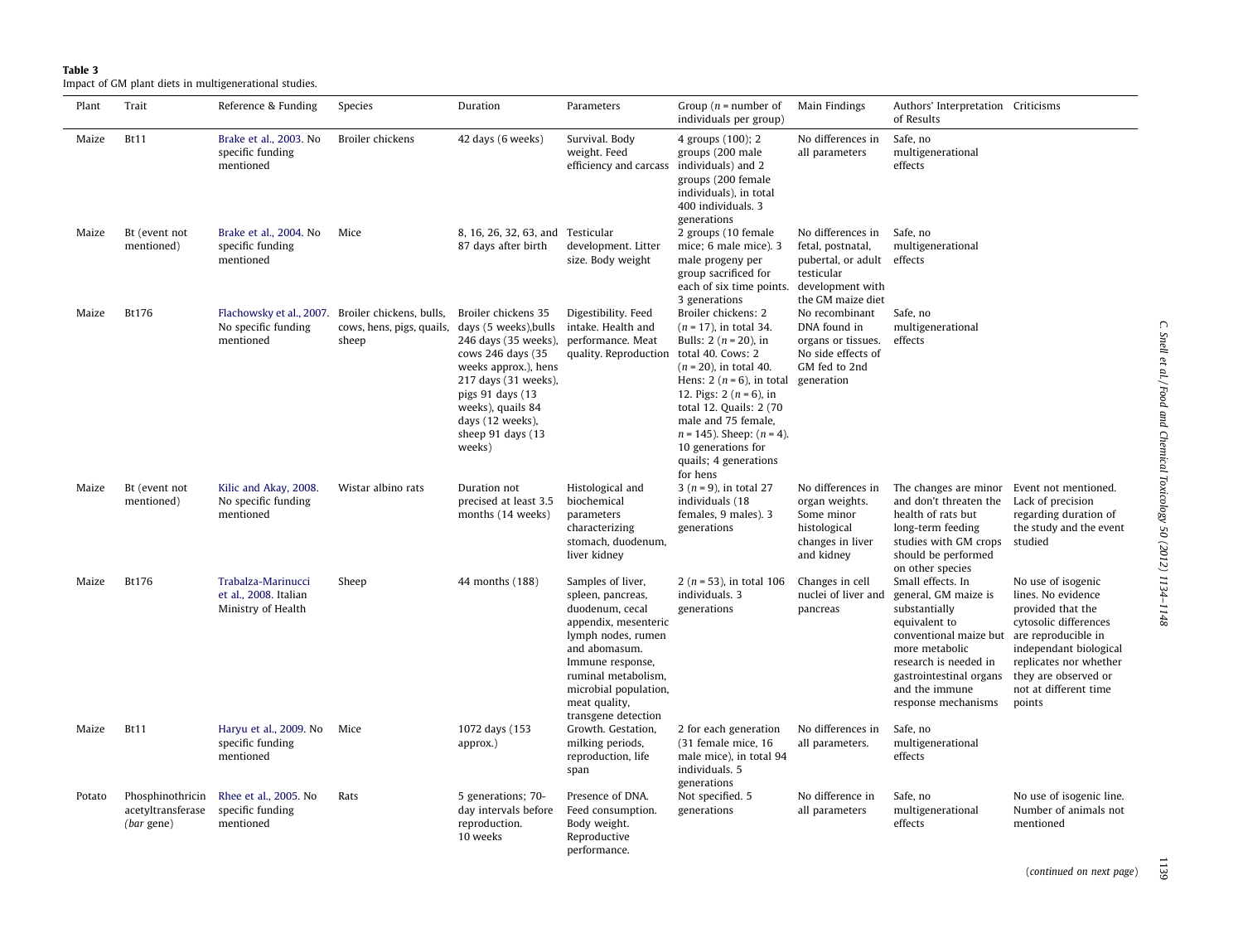#### <span id="page-5-0"></span>Table 3

Impact of GM plant diets in multigenerational studies.

| Plant  | Trait                                               | Reference & Funding                                               | Species                                                                                 | Duration                                                                                                                                                                                                                              | Parameters                                                                                                                                                                                                                           | Group ( $n =$ number of<br>individuals per group)                                                                                                                                                                                                                                                                         | <b>Main Findings</b>                                                                                                        | Authors' Interpretation Criticisms<br>of Results                                                                                                                                                                     |                                                                                                                                                                                                                              |
|--------|-----------------------------------------------------|-------------------------------------------------------------------|-----------------------------------------------------------------------------------------|---------------------------------------------------------------------------------------------------------------------------------------------------------------------------------------------------------------------------------------|--------------------------------------------------------------------------------------------------------------------------------------------------------------------------------------------------------------------------------------|---------------------------------------------------------------------------------------------------------------------------------------------------------------------------------------------------------------------------------------------------------------------------------------------------------------------------|-----------------------------------------------------------------------------------------------------------------------------|----------------------------------------------------------------------------------------------------------------------------------------------------------------------------------------------------------------------|------------------------------------------------------------------------------------------------------------------------------------------------------------------------------------------------------------------------------|
| Maize  | <b>Bt11</b>                                         | Brake et al., 2003. No<br>specific funding<br>mentioned           | Broiler chickens                                                                        | 42 days (6 weeks)                                                                                                                                                                                                                     | Survival. Body<br>weight. Feed<br>efficiency and carcass                                                                                                                                                                             | 4 groups (100); 2<br>groups (200 male<br>individuals) and 2<br>groups (200 female<br>individuals), in total<br>400 individuals, 3<br>generations                                                                                                                                                                          | No differences in<br>all parameters                                                                                         | Safe, no<br>multigenerational<br>effects                                                                                                                                                                             |                                                                                                                                                                                                                              |
| Maize  | Bt (event not<br>mentioned)                         | Brake et al., 2004. No<br>specific funding<br>mentioned           | Mice                                                                                    | 8, 16, 26, 32, 63, and Testicular<br>87 days after birth                                                                                                                                                                              | development. Litter<br>size. Body weight                                                                                                                                                                                             | 2 groups (10 female<br>mice; 6 male mice). 3<br>male progeny per<br>group sacrificed for<br>each of six time points.<br>3 generations                                                                                                                                                                                     | No differences in<br>fetal, postnatal,<br>pubertal, or adult effects<br>testicular<br>development with<br>the GM maize diet | Safe, no<br>multigenerational                                                                                                                                                                                        |                                                                                                                                                                                                                              |
| Maize  | Bt176                                               | No specific funding<br>mentioned                                  | Flachowsky et al., 2007. Broiler chickens, bulls,<br>cows, hens, pigs, quails,<br>sheep | Broiler chickens 35<br>days (5 weeks), bulls<br>246 days (35 weeks),<br>cows 246 days (35<br>weeks approx.), hens<br>217 days (31 weeks),<br>pigs 91 days (13<br>weeks), quails 84<br>days (12 weeks),<br>sheep 91 days (13<br>weeks) | Digestibility. Feed<br>intake. Health and<br>performance. Meat<br>quality. Reproduction total 40. Cows: 2                                                                                                                            | Broiler chickens: 2<br>$(n = 17)$ , in total 34.<br>Bulls: $2 (n = 20)$ , in<br>$(n = 20)$ , in total 40.<br>Hens: 2 ( $n = 6$ ), in total<br>12. Pigs: 2 ( $n = 6$ ), in<br>total 12, Quails: 2 (70<br>male and 75 female,<br>$n = 145$ ). Sheep: $(n = 4)$ .<br>10 generations for<br>quails; 4 generations<br>for hens | No recombinant<br>DNA found in<br>organs or tissues.<br>No side effects of<br>GM fed to 2nd<br>generation                   | Safe, no<br>multigenerational<br>effects                                                                                                                                                                             |                                                                                                                                                                                                                              |
| Maize  | Bt (event not<br>mentioned)                         | Kilic and Akay, 2008.<br>No specific funding<br>mentioned         | Wistar albino rats                                                                      | Duration not<br>precised at least 3.5<br>months (14 weeks)                                                                                                                                                                            | Histological and<br>biochemical<br>parameters<br>characterizing<br>stomach, duodenum,<br>liver kidney                                                                                                                                | $3(n=9)$ , in total 27<br>individuals (18<br>females, 9 males). 3<br>generations                                                                                                                                                                                                                                          | No differences in<br>organ weights.<br>Some minor<br>histological<br>changes in liver<br>and kidney                         | The changes are minor<br>and don't threaten the<br>health of rats but<br>long-term feeding<br>studies with GM crops<br>should be performed<br>on other species                                                       | Event not mentioned.<br>Lack of precision<br>regarding duration of<br>the study and the event<br>studied                                                                                                                     |
| Maize  | Bt176                                               | Trabalza-Marinucci<br>et al., 2008. Italian<br>Ministry of Health | Sheep                                                                                   | 44 months (188)                                                                                                                                                                                                                       | Samples of liver,<br>spleen, pancreas,<br>duodenum, cecal<br>appendix, mesenteric<br>lymph nodes, rumen<br>and abomasum.<br>Immune response,<br>ruminal metabolism,<br>microbial population,<br>meat quality,<br>transgene detection | 2 ( $n = 53$ ), in total 106<br>individuals. 3<br>generations                                                                                                                                                                                                                                                             | Changes in cell<br>nuclei of liver and<br>pancreas                                                                          | Small effects. In<br>general, GM maize is<br>substantially<br>equivalent to<br>conventional maize but<br>more metabolic<br>research is needed in<br>gastrointestinal organs<br>and the immune<br>response mechanisms | No use of isogenic<br>lines. No evidence<br>provided that the<br>cytosolic differences<br>are reproducible in<br>independant biological<br>replicates nor whether<br>they are observed or<br>not at different time<br>points |
| Maize  | <b>Bt11</b>                                         | Haryu et al., 2009. No<br>specific funding<br>mentioned           | Mice                                                                                    | 1072 days (153<br>approx.)                                                                                                                                                                                                            | Growth. Gestation,<br>milking periods,<br>reproduction, life<br>span                                                                                                                                                                 | 2 for each generation<br>(31 female mice, 16<br>male mice), in total 94<br>individuals. 5<br>generations                                                                                                                                                                                                                  | No differences in<br>all parameters.                                                                                        | Safe, no<br>multigenerational<br>effects                                                                                                                                                                             |                                                                                                                                                                                                                              |
| Potato | Phosphinothricin<br>acetyltransferase<br>(bar gene) | Rhee et al., 2005. No<br>specific funding<br>mentioned            | Rats                                                                                    | 5 generations; 70-<br>day intervals before<br>reproduction.<br>10 weeks                                                                                                                                                               | Presence of DNA.<br>Feed consumption.<br>Body weight.<br>Reproductive<br>performance.                                                                                                                                                | Not specified. 5<br>generations                                                                                                                                                                                                                                                                                           | No difference in<br>all parameters                                                                                          | Safe, no<br>multigenerational<br>effects                                                                                                                                                                             | No use of isogenic line.<br>Number of animals not<br>mentioned                                                                                                                                                               |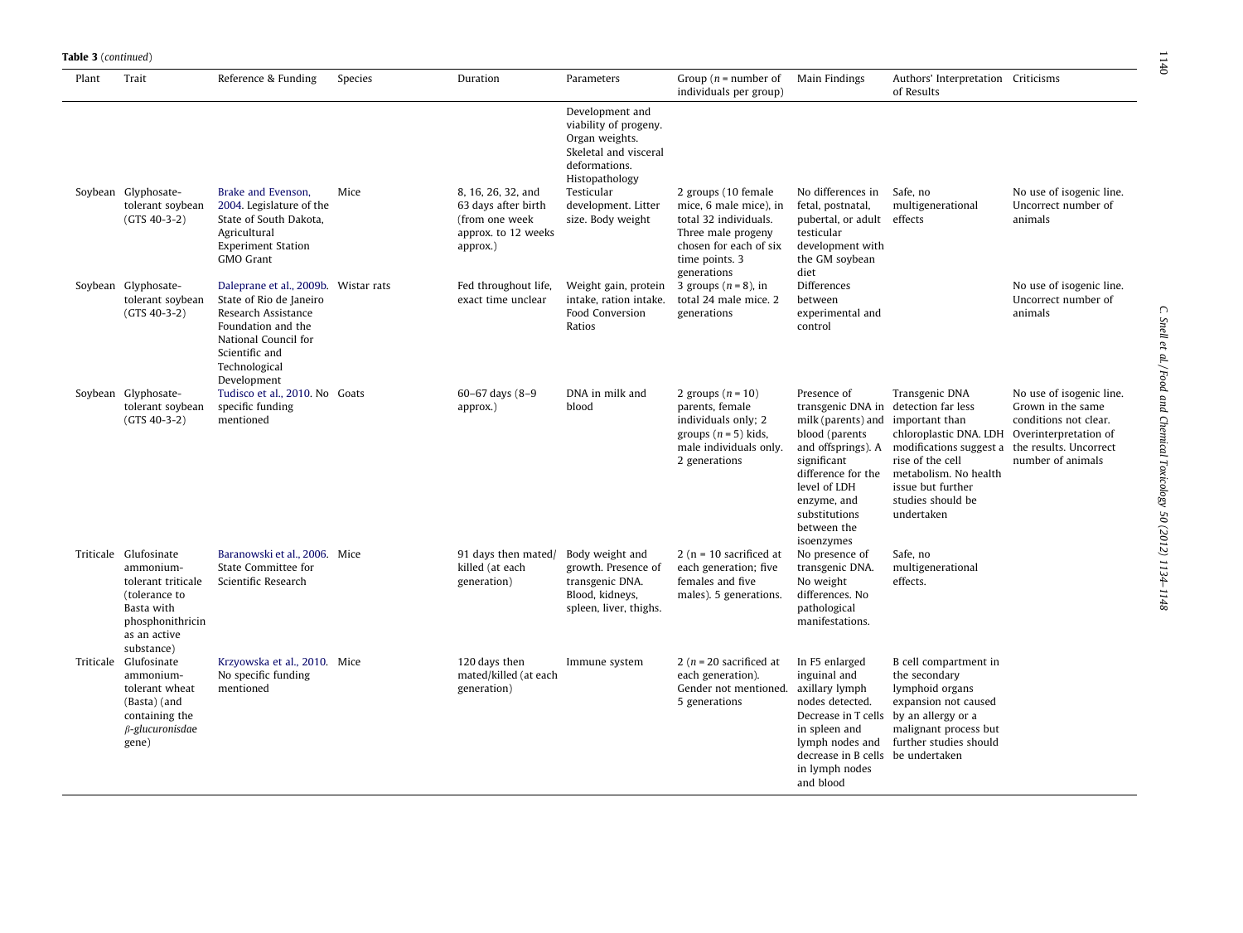#### **Table 3** (continued)

| Plant | Trait                                                                                                                                     | Reference & Funding                                                                                                                                                                    | Species | Duration                                                                                       | Parameters                                                                                                             | Group ( $n =$ number of<br>individuals per group)                                                                                                       | Main Findings                                                                                                                                                                                                                       | Authors' Interpretation Criticisms<br>of Results                                                                                                                                                                  |                                                                                                                      |
|-------|-------------------------------------------------------------------------------------------------------------------------------------------|----------------------------------------------------------------------------------------------------------------------------------------------------------------------------------------|---------|------------------------------------------------------------------------------------------------|------------------------------------------------------------------------------------------------------------------------|---------------------------------------------------------------------------------------------------------------------------------------------------------|-------------------------------------------------------------------------------------------------------------------------------------------------------------------------------------------------------------------------------------|-------------------------------------------------------------------------------------------------------------------------------------------------------------------------------------------------------------------|----------------------------------------------------------------------------------------------------------------------|
|       |                                                                                                                                           |                                                                                                                                                                                        |         |                                                                                                | Development and<br>viability of progeny.<br>Organ weights.<br>Skeletal and visceral<br>deformations.<br>Histopathology |                                                                                                                                                         |                                                                                                                                                                                                                                     |                                                                                                                                                                                                                   |                                                                                                                      |
|       | Soybean Glyphosate-<br>tolerant soybean<br>$(GTS 40-3-2)$                                                                                 | Brake and Evenson,<br>2004. Legislature of the<br>State of South Dakota,<br>Agricultural<br><b>Experiment Station</b><br>GMO Grant                                                     | Mice    | 8, 16, 26, 32, and<br>63 days after birth<br>(from one week<br>approx. to 12 weeks<br>approx.) | Testicular<br>development, Litter<br>size. Body weight                                                                 | 2 groups (10 female<br>mice, 6 male mice), in<br>total 32 individuals.<br>Three male progeny<br>chosen for each of six<br>time points. 3<br>generations | No differences in<br>fetal, postnatal,<br>pubertal, or adult<br>testicular<br>development with<br>the GM soybean<br>diet                                                                                                            | Safe, no<br>multigenerational<br>effects                                                                                                                                                                          | No use of isogenic line.<br>Uncorrect number of<br>animals                                                           |
|       | Soybean Glyphosate-<br>tolerant soybean<br>$(GTS 40-3-2)$                                                                                 | Daleprane et al., 2009b. Wistar rats<br>State of Rio de Janeiro<br>Research Assistance<br>Foundation and the<br>National Council for<br>Scientific and<br>Technological<br>Development |         | Fed throughout life,<br>exact time unclear                                                     | Weight gain, protein<br>intake, ration intake.<br>Food Conversion<br>Ratios                                            | 3 groups $(n = 8)$ , in<br>total 24 male mice. 2<br>generations                                                                                         | Differences<br>between<br>experimental and<br>control                                                                                                                                                                               |                                                                                                                                                                                                                   | No use of isogenic line.<br>Uncorrect number of<br>animals                                                           |
|       | Soybean Glyphosate-<br>tolerant soybean<br>$(GTS 40-3-2)$                                                                                 | Tudisco et al., 2010. No Goats<br>specific funding<br>mentioned                                                                                                                        |         | $60 - 67$ days $(8 - 9)$<br>approx.)                                                           | DNA in milk and<br>blood                                                                                               | 2 groups $(n = 10)$<br>parents, female<br>individuals only; 2<br>groups $(n = 5)$ kids,<br>male individuals only.<br>2 generations                      | Presence of<br>transgenic DNA in detection far less<br>milk (parents) and<br>blood (parents<br>and offsprings). A<br>significant<br>difference for the<br>level of LDH<br>enzyme, and<br>substitutions<br>between the<br>isoenzymes | Transgenic DNA<br>important than<br>chloroplastic DNA. LDH<br>modifications suggest a the results. Uncorrect<br>rise of the cell<br>metabolism. No health<br>issue but further<br>studies should be<br>undertaken | No use of isogenic line.<br>Grown in the same<br>conditions not clear.<br>Overinterpretation of<br>number of animals |
|       | Triticale Glufosinate<br>ammonium-<br>tolerant triticale<br>(tolerance to<br>Basta with<br>phosphonithricin<br>as an active<br>substance) | Baranowski et al., 2006. Mice<br>State Committee for<br>Scientific Research                                                                                                            |         | 91 days then mated/<br>killed (at each<br>generation)                                          | Body weight and<br>growth. Presence of<br>transgenic DNA.<br>Blood, kidneys,<br>spleen, liver, thighs.                 | $2(n = 10$ sacrificed at<br>each generation; five<br>females and five<br>males). 5 generations.                                                         | No presence of<br>transgenic DNA.<br>No weight<br>differences. No<br>pathological<br>manifestations.                                                                                                                                | Safe, no<br>multigenerational<br>effects.                                                                                                                                                                         |                                                                                                                      |
|       | Triticale Glufosinate<br>ammonium-<br>tolerant wheat<br>(Basta) (and<br>containing the<br>$\beta$ -glucuronisdae<br>gene)                 | Krzyowska et al., 2010. Mice<br>No specific funding<br>mentioned                                                                                                                       |         | 120 days then<br>mated/killed (at each<br>generation)                                          | Immune system                                                                                                          | 2 ( $n = 20$ sacrificed at<br>each generation).<br>Gender not mentioned.<br>5 generations                                                               | In F5 enlarged<br>inguinal and<br>axillary lymph<br>nodes detected.<br>Decrease in T cells<br>in spleen and<br>lymph nodes and<br>decrease in B cells<br>in lymph nodes<br>and blood                                                | B cell compartment in<br>the secondary<br>lymphoid organs<br>expansion not caused<br>by an allergy or a<br>malignant process but<br>further studies should<br>be undertaken                                       |                                                                                                                      |

 $1140$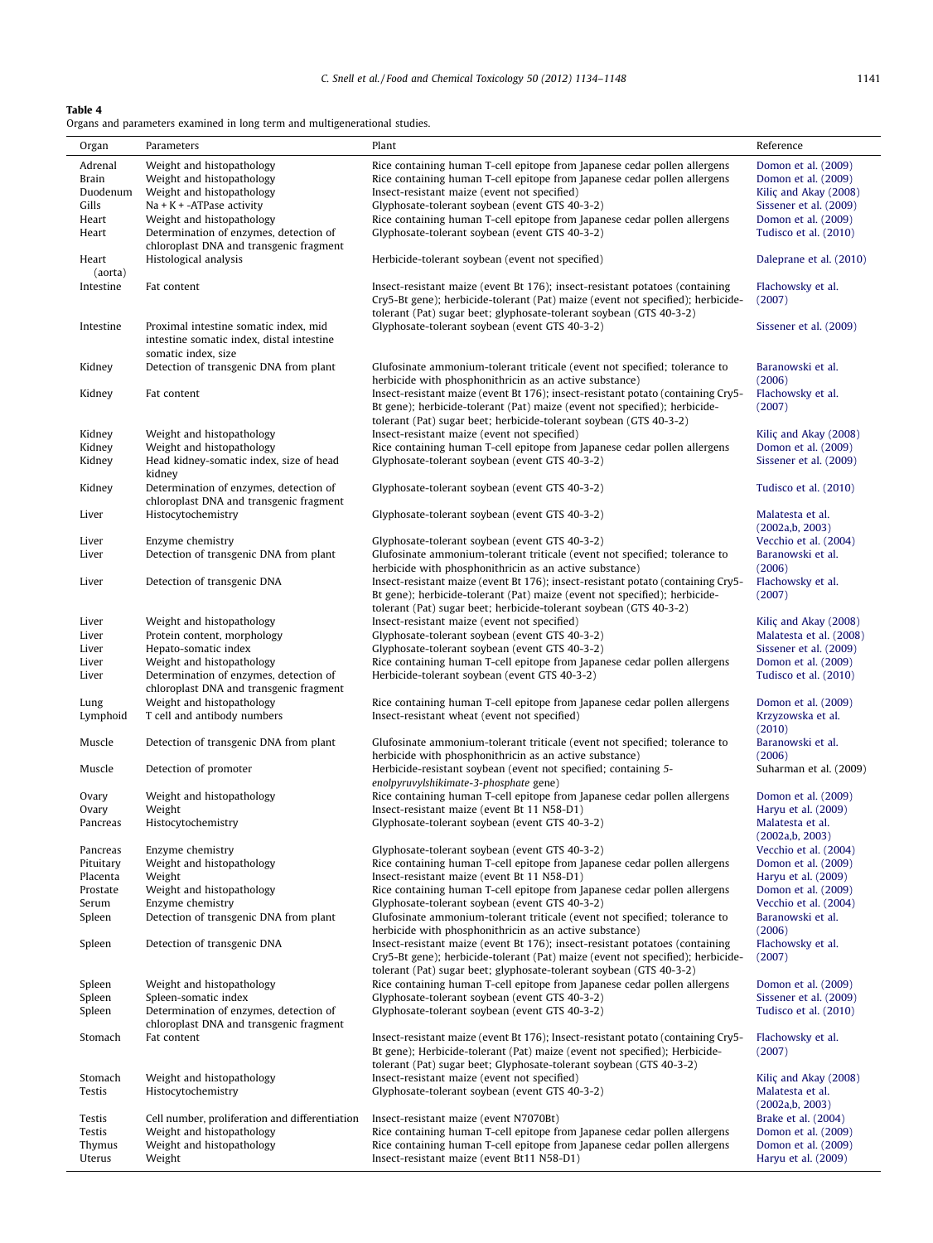<span id="page-7-0"></span>

| וחר |  |
|-----|--|
|-----|--|

| $\bigcap_{n\geq n}$ | Demand of case                                                             | $DI - 4$ |
|---------------------|----------------------------------------------------------------------------|----------|
|                     | Organs and parameters examined in long term and multigenerational studies. |          |
| $1001C - 1$         |                                                                            |          |

| Organ            | Parameters                                                                                                     | Plant                                                                                                                                                                                                                                 | Reference                                    |
|------------------|----------------------------------------------------------------------------------------------------------------|---------------------------------------------------------------------------------------------------------------------------------------------------------------------------------------------------------------------------------------|----------------------------------------------|
| Adrenal          | Weight and histopathology                                                                                      | Rice containing human T-cell epitope from Japanese cedar pollen allergens                                                                                                                                                             | Domon et al. (2009)                          |
| Brain            | Weight and histopathology                                                                                      | Rice containing human T-cell epitope from Japanese cedar pollen allergens                                                                                                                                                             | Domon et al. (2009)                          |
| Duodenum         | Weight and histopathology                                                                                      | Insect-resistant maize (event not specified)                                                                                                                                                                                          | Kiliç and Akay (2008)                        |
| Gills            | $Na + K + -ATPase activity$                                                                                    | Glyphosate-tolerant soybean (event GTS 40-3-2)                                                                                                                                                                                        | Sissener et al. (2009)                       |
| Heart            | Weight and histopathology                                                                                      | Rice containing human T-cell epitope from Japanese cedar pollen allergens                                                                                                                                                             | Domon et al. (2009)                          |
| Heart            | Determination of enzymes, detection of                                                                         | Glyphosate-tolerant soybean (event GTS 40-3-2)                                                                                                                                                                                        | Tudisco et al. (2010)                        |
|                  | chloroplast DNA and transgenic fragment                                                                        |                                                                                                                                                                                                                                       |                                              |
| Heart<br>(aorta) | Histological analysis                                                                                          | Herbicide-tolerant soybean (event not specified)                                                                                                                                                                                      | Daleprane et al. (2010)                      |
| Intestine        | Fat content                                                                                                    | Insect-resistant maize (event Bt 176); insect-resistant potatoes (containing<br>Cry5-Bt gene); herbicide-tolerant (Pat) maize (event not specified); herbicide-                                                                       | Flachowsky et al.<br>(2007)                  |
| Intestine        | Proximal intestine somatic index, mid<br>intestine somatic index, distal intestine                             | tolerant (Pat) sugar beet; glyphosate-tolerant soybean (GTS 40-3-2)<br>Glyphosate-tolerant soybean (event GTS 40-3-2)                                                                                                                 | Sissener et al. (2009)                       |
| Kidney           | somatic index, size<br>Detection of transgenic DNA from plant                                                  | Glufosinate ammonium-tolerant triticale (event not specified; tolerance to                                                                                                                                                            | Baranowski et al.                            |
| Kidney           |                                                                                                                | herbicide with phosphonithricin as an active substance)                                                                                                                                                                               | (2006)<br>Flachowsky et al.                  |
|                  | Fat content                                                                                                    | Insect-resistant maize (event Bt 176); insect-resistant potato (containing Cry5-<br>Bt gene); herbicide-tolerant (Pat) maize (event not specified); herbicide-                                                                        | (2007)                                       |
| Kidney           | Weight and histopathology                                                                                      | tolerant (Pat) sugar beet; herbicide-tolerant soybean (GTS 40-3-2)<br>Insect-resistant maize (event not specified)                                                                                                                    | Kiliç and Akay (2008)                        |
| Kidney           | Weight and histopathology                                                                                      | Rice containing human T-cell epitope from Japanese cedar pollen allergens                                                                                                                                                             | Domon et al. (2009)                          |
| Kidney           | Head kidney-somatic index, size of head                                                                        | Glyphosate-tolerant soybean (event GTS 40-3-2)                                                                                                                                                                                        | Sissener et al. (2009)                       |
|                  | kidney                                                                                                         |                                                                                                                                                                                                                                       |                                              |
| Kidney           | Determination of enzymes, detection of<br>chloroplast DNA and transgenic fragment                              | Glyphosate-tolerant soybean (event GTS 40-3-2)                                                                                                                                                                                        | Tudisco et al. (2010)                        |
| Liver            | Histocytochemistry                                                                                             | Glyphosate-tolerant soybean (event GTS 40-3-2)                                                                                                                                                                                        | Malatesta et al.<br>(2002a,b, 2003)          |
| Liver            | Enzyme chemistry                                                                                               | Glyphosate-tolerant soybean (event GTS 40-3-2)                                                                                                                                                                                        | Vecchio et al. (2004)                        |
| Liver            | Detection of transgenic DNA from plant                                                                         | Glufosinate ammonium-tolerant triticale (event not specified; tolerance to                                                                                                                                                            | Baranowski et al.                            |
|                  |                                                                                                                | herbicide with phosphonithricin as an active substance)                                                                                                                                                                               | (2006)                                       |
| Liver            | Detection of transgenic DNA                                                                                    | Insect-resistant maize (event Bt 176); insect-resistant potato (containing Cry5-<br>Bt gene); herbicide-tolerant (Pat) maize (event not specified); herbicide-                                                                        | Flachowsky et al.<br>(2007)                  |
|                  |                                                                                                                | tolerant (Pat) sugar beet; herbicide-tolerant soybean (GTS 40-3-2)                                                                                                                                                                    |                                              |
| Liver            | Weight and histopathology                                                                                      | Insect-resistant maize (event not specified)                                                                                                                                                                                          | Kiliç and Akay (2008)                        |
| Liver            | Protein content, morphology                                                                                    | Glyphosate-tolerant soybean (event GTS 40-3-2)                                                                                                                                                                                        | Malatesta et al. (2008)                      |
| Liver            | Hepato-somatic index                                                                                           | Glyphosate-tolerant soybean (event GTS 40-3-2)                                                                                                                                                                                        | Sissener et al. (2009)                       |
| Liver<br>Liver   | Weight and histopathology<br>Determination of enzymes, detection of<br>chloroplast DNA and transgenic fragment | Rice containing human T-cell epitope from Japanese cedar pollen allergens<br>Herbicide-tolerant soybean (event GTS 40-3-2)                                                                                                            | Domon et al. (2009)<br>Tudisco et al. (2010) |
| Lung             | Weight and histopathology                                                                                      | Rice containing human T-cell epitope from Japanese cedar pollen allergens                                                                                                                                                             | Domon et al. (2009)                          |
| Lymphoid         | T cell and antibody numbers                                                                                    | Insect-resistant wheat (event not specified)                                                                                                                                                                                          | Krzyzowska et al.<br>(2010)                  |
| Muscle           | Detection of transgenic DNA from plant                                                                         | Glufosinate ammonium-tolerant triticale (event not specified; tolerance to<br>herbicide with phosphonithricin as an active substance)                                                                                                 | Baranowski et al.<br>(2006)                  |
| Muscle           | Detection of promoter                                                                                          | Herbicide-resistant soybean (event not specified; containing 5-<br>enolpyruvylshikimate-3-phosphate gene)                                                                                                                             | Suharman et al. (2009)                       |
| Ovary            | Weight and histopathology                                                                                      | Rice containing human T-cell epitope from Japanese cedar pollen allergens                                                                                                                                                             | Domon et al. (2009)                          |
| Ovary            | Weight                                                                                                         | Insect-resistant maize (event Bt 11 N58-D1)                                                                                                                                                                                           | Haryu et al. (2009)                          |
| Pancreas         | Histocytochemistry                                                                                             | Glyphosate-tolerant soybean (event GTS 40-3-2)                                                                                                                                                                                        | Malatesta et al.<br>(2002a,b, 2003)          |
| Pancreas         | Enzyme chemistry                                                                                               | Glyphosate-tolerant soybean (event GTS 40-3-2)                                                                                                                                                                                        | Vecchio et al. (2004)                        |
| Pituitary        | Weight and histopathology                                                                                      | Rice containing human T-cell epitope from Japanese cedar pollen allergens                                                                                                                                                             | Domon et al. (2009)                          |
| Placenta         | Weight                                                                                                         | Insect-resistant maize (event Bt 11 N58-D1)                                                                                                                                                                                           | Haryu et al. (2009)                          |
| Prostate         | Weight and histopathology                                                                                      | Rice containing human T-cell epitope from Japanese cedar pollen allergens                                                                                                                                                             | Domon et al. (2009)                          |
| Serum<br>Spleen  | Enzyme chemistry<br>Detection of transgenic DNA from plant                                                     | Glyphosate-tolerant soybean (event GTS 40-3-2)<br>Glufosinate ammonium-tolerant triticale (event not specified; tolerance to                                                                                                          | Vecchio et al. (2004)<br>Baranowski et al.   |
| Spleen           | Detection of transgenic DNA                                                                                    | herbicide with phosphonithricin as an active substance)<br>Insect-resistant maize (event Bt 176); insect-resistant potatoes (containing                                                                                               | (2006)<br>Flachowsky et al.                  |
|                  |                                                                                                                | Cry5-Bt gene); herbicide-tolerant (Pat) maize (event not specified); herbicide-<br>tolerant (Pat) sugar beet; glyphosate-tolerant soybean (GTS 40-3-2)                                                                                | (2007)                                       |
| Spleen           | Weight and histopathology                                                                                      | Rice containing human T-cell epitope from Japanese cedar pollen allergens                                                                                                                                                             | Domon et al. (2009)                          |
| Spleen           | Spleen-somatic index                                                                                           | Glyphosate-tolerant soybean (event GTS 40-3-2)                                                                                                                                                                                        | Sissener et al. (2009)                       |
| Spleen           | Determination of enzymes, detection of<br>chloroplast DNA and transgenic fragment                              | Glyphosate-tolerant soybean (event GTS 40-3-2)                                                                                                                                                                                        | Tudisco et al. (2010)                        |
| Stomach          | Fat content                                                                                                    | Insect-resistant maize (event Bt 176); Insect-resistant potato (containing Cry5-<br>Bt gene); Herbicide-tolerant (Pat) maize (event not specified); Herbicide-<br>tolerant (Pat) sugar beet; Glyphosate-tolerant soybean (GTS 40-3-2) | Flachowsky et al.<br>(2007)                  |
| Stomach          | Weight and histopathology                                                                                      | Insect-resistant maize (event not specified)                                                                                                                                                                                          | Kiliç and Akay (2008)                        |
| Testis           | Histocytochemistry                                                                                             | Glyphosate-tolerant soybean (event GTS 40-3-2)                                                                                                                                                                                        | Malatesta et al.<br>(2002a,b, 2003)          |
| Testis           | Cell number, proliferation and differentiation                                                                 | Insect-resistant maize (event N7070Bt)                                                                                                                                                                                                | Brake et al. (2004)                          |
| Testis           | Weight and histopathology                                                                                      | Rice containing human T-cell epitope from Japanese cedar pollen allergens                                                                                                                                                             | Domon et al. (2009)                          |
| Thymus           | Weight and histopathology                                                                                      | Rice containing human T-cell epitope from Japanese cedar pollen allergens                                                                                                                                                             | Domon et al. (2009)                          |
| Uterus           | Weight                                                                                                         | Insect-resistant maize (event Bt11 N58-D1)                                                                                                                                                                                            | Haryu et al. (2009)                          |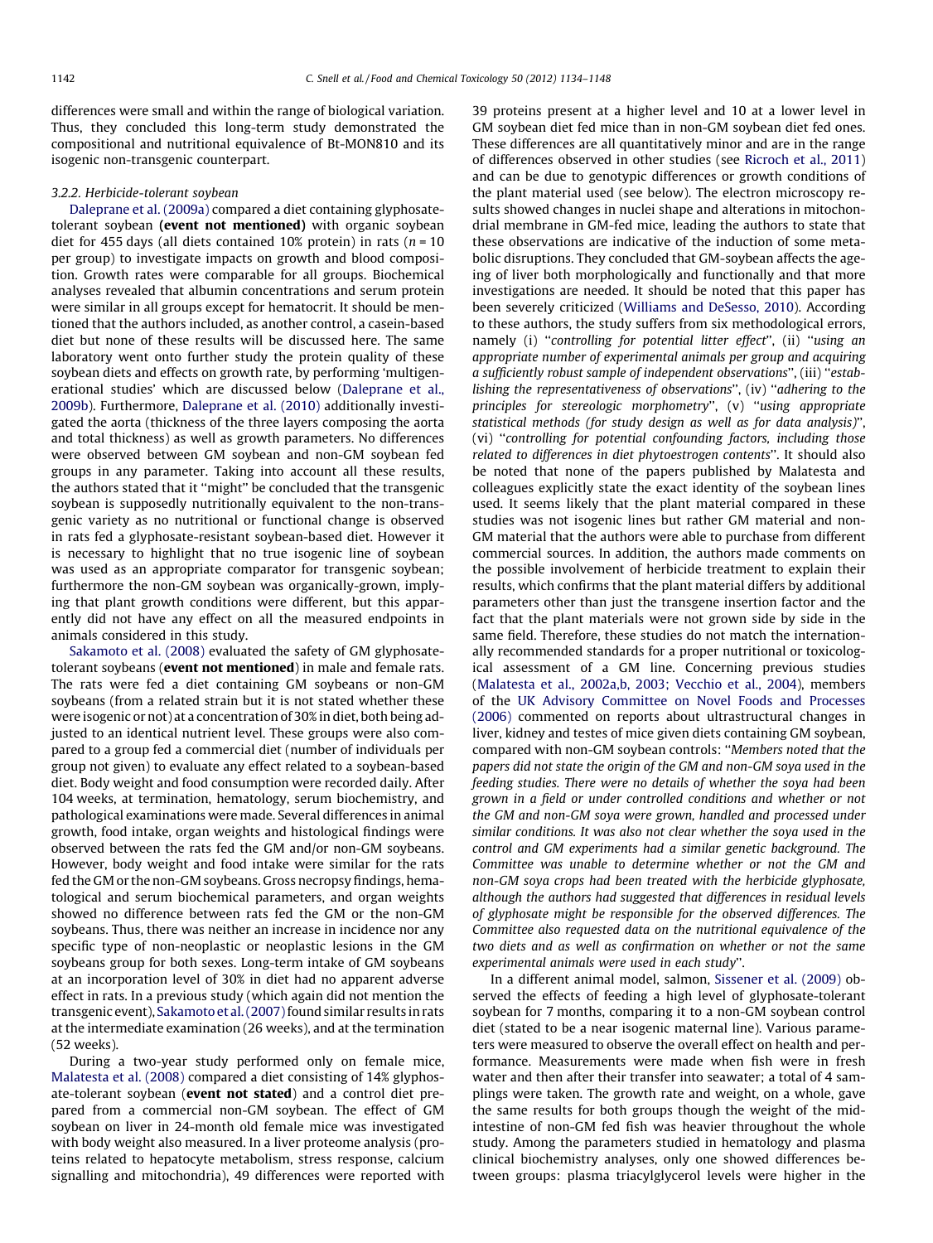differences were small and within the range of biological variation. Thus, they concluded this long-term study demonstrated the compositional and nutritional equivalence of Bt-MON810 and its isogenic non-transgenic counterpart.

#### 3.2.2. Herbicide-tolerant soybean

[Daleprane et al. \(2009a\)](#page-13-0) compared a diet containing glyphosatetolerant soybean (event not mentioned) with organic soybean diet for 455 days (all diets contained 10% protein) in rats ( $n = 10$ per group) to investigate impacts on growth and blood composition. Growth rates were comparable for all groups. Biochemical analyses revealed that albumin concentrations and serum protein were similar in all groups except for hematocrit. It should be mentioned that the authors included, as another control, a casein-based diet but none of these results will be discussed here. The same laboratory went onto further study the protein quality of these soybean diets and effects on growth rate, by performing 'multigenerational studies' which are discussed below ([Daleprane et al.,](#page-13-0) [2009b](#page-13-0)). Furthermore, [Daleprane et al. \(2010\)](#page-13-0) additionally investigated the aorta (thickness of the three layers composing the aorta and total thickness) as well as growth parameters. No differences were observed between GM soybean and non-GM soybean fed groups in any parameter. Taking into account all these results, the authors stated that it ''might'' be concluded that the transgenic soybean is supposedly nutritionally equivalent to the non-transgenic variety as no nutritional or functional change is observed in rats fed a glyphosate-resistant soybean-based diet. However it is necessary to highlight that no true isogenic line of soybean was used as an appropriate comparator for transgenic soybean; furthermore the non-GM soybean was organically-grown, implying that plant growth conditions were different, but this apparently did not have any effect on all the measured endpoints in animals considered in this study.

[Sakamoto et al. \(2008\)](#page-14-0) evaluated the safety of GM glyphosatetolerant soybeans (event not mentioned) in male and female rats. The rats were fed a diet containing GM soybeans or non-GM soybeans (from a related strain but it is not stated whether these were isogenic or not) at a concentration of 30% in diet, both being adjusted to an identical nutrient level. These groups were also compared to a group fed a commercial diet (number of individuals per group not given) to evaluate any effect related to a soybean-based diet. Body weight and food consumption were recorded daily. After 104 weeks, at termination, hematology, serum biochemistry, and pathological examinations were made. Several differences in animal growth, food intake, organ weights and histological findings were observed between the rats fed the GM and/or non-GM soybeans. However, body weight and food intake were similar for the rats fed the GM or the non-GM soybeans. Gross necropsy findings, hematological and serum biochemical parameters, and organ weights showed no difference between rats fed the GM or the non-GM soybeans. Thus, there was neither an increase in incidence nor any specific type of non-neoplastic or neoplastic lesions in the GM soybeans group for both sexes. Long-term intake of GM soybeans at an incorporation level of 30% in diet had no apparent adverse effect in rats. In a previous study (which again did not mention the transgenic event), [Sakamoto et al. \(2007\)](#page-14-0) found similar results in rats at the intermediate examination (26 weeks), and at the termination (52 weeks).

During a two-year study performed only on female mice, [Malatesta et al. \(2008\)](#page-13-0) compared a diet consisting of 14% glyphosate-tolerant soybean (event not stated) and a control diet prepared from a commercial non-GM soybean. The effect of GM soybean on liver in 24-month old female mice was investigated with body weight also measured. In a liver proteome analysis (proteins related to hepatocyte metabolism, stress response, calcium signalling and mitochondria), 49 differences were reported with

39 proteins present at a higher level and 10 at a lower level in GM soybean diet fed mice than in non-GM soybean diet fed ones. These differences are all quantitatively minor and are in the range of differences observed in other studies (see [Ricroch et al., 2011\)](#page-14-0) and can be due to genotypic differences or growth conditions of the plant material used (see below). The electron microscopy results showed changes in nuclei shape and alterations in mitochondrial membrane in GM-fed mice, leading the authors to state that these observations are indicative of the induction of some metabolic disruptions. They concluded that GM-soybean affects the ageing of liver both morphologically and functionally and that more investigations are needed. It should be noted that this paper has been severely criticized [\(Williams and DeSesso, 2010\)](#page-14-0). According to these authors, the study suffers from six methodological errors, namely (i) "controlling for potential litter effect", (ii) "using an appropriate number of experimental animals per group and acquiring a sufficiently robust sample of independent observations'', (iii) ''establishing the representativeness of observations'', (iv) ''adhering to the principles for stereologic morphometry'', (v) ''using appropriate statistical methods (for study design as well as for data analysis)'', (vi) ''controlling for potential confounding factors, including those related to differences in diet phytoestrogen contents''. It should also be noted that none of the papers published by Malatesta and colleagues explicitly state the exact identity of the soybean lines used. It seems likely that the plant material compared in these studies was not isogenic lines but rather GM material and non-GM material that the authors were able to purchase from different commercial sources. In addition, the authors made comments on the possible involvement of herbicide treatment to explain their results, which confirms that the plant material differs by additional parameters other than just the transgene insertion factor and the fact that the plant materials were not grown side by side in the same field. Therefore, these studies do not match the internationally recommended standards for a proper nutritional or toxicological assessment of a GM line. Concerning previous studies ([Malatesta et al., 2002a,b, 2003; Vecchio et al., 2004\)](#page-13-0), members of the [UK Advisory Committee on Novel Foods and Processes](#page-14-0) [\(2006\)](#page-14-0) commented on reports about ultrastructural changes in liver, kidney and testes of mice given diets containing GM soybean, compared with non-GM soybean controls: ''Members noted that the papers did not state the origin of the GM and non-GM soya used in the feeding studies. There were no details of whether the soya had been grown in a field or under controlled conditions and whether or not the GM and non-GM soya were grown, handled and processed under similar conditions. It was also not clear whether the soya used in the control and GM experiments had a similar genetic background. The Committee was unable to determine whether or not the GM and non-GM soya crops had been treated with the herbicide glyphosate, although the authors had suggested that differences in residual levels of glyphosate might be responsible for the observed differences. The Committee also requested data on the nutritional equivalence of the two diets and as well as confirmation on whether or not the same experimental animals were used in each study''.

In a different animal model, salmon, [Sissener et al. \(2009\)](#page-14-0) observed the effects of feeding a high level of glyphosate-tolerant soybean for 7 months, comparing it to a non-GM soybean control diet (stated to be a near isogenic maternal line). Various parameters were measured to observe the overall effect on health and performance. Measurements were made when fish were in fresh water and then after their transfer into seawater; a total of 4 samplings were taken. The growth rate and weight, on a whole, gave the same results for both groups though the weight of the midintestine of non-GM fed fish was heavier throughout the whole study. Among the parameters studied in hematology and plasma clinical biochemistry analyses, only one showed differences between groups: plasma triacylglycerol levels were higher in the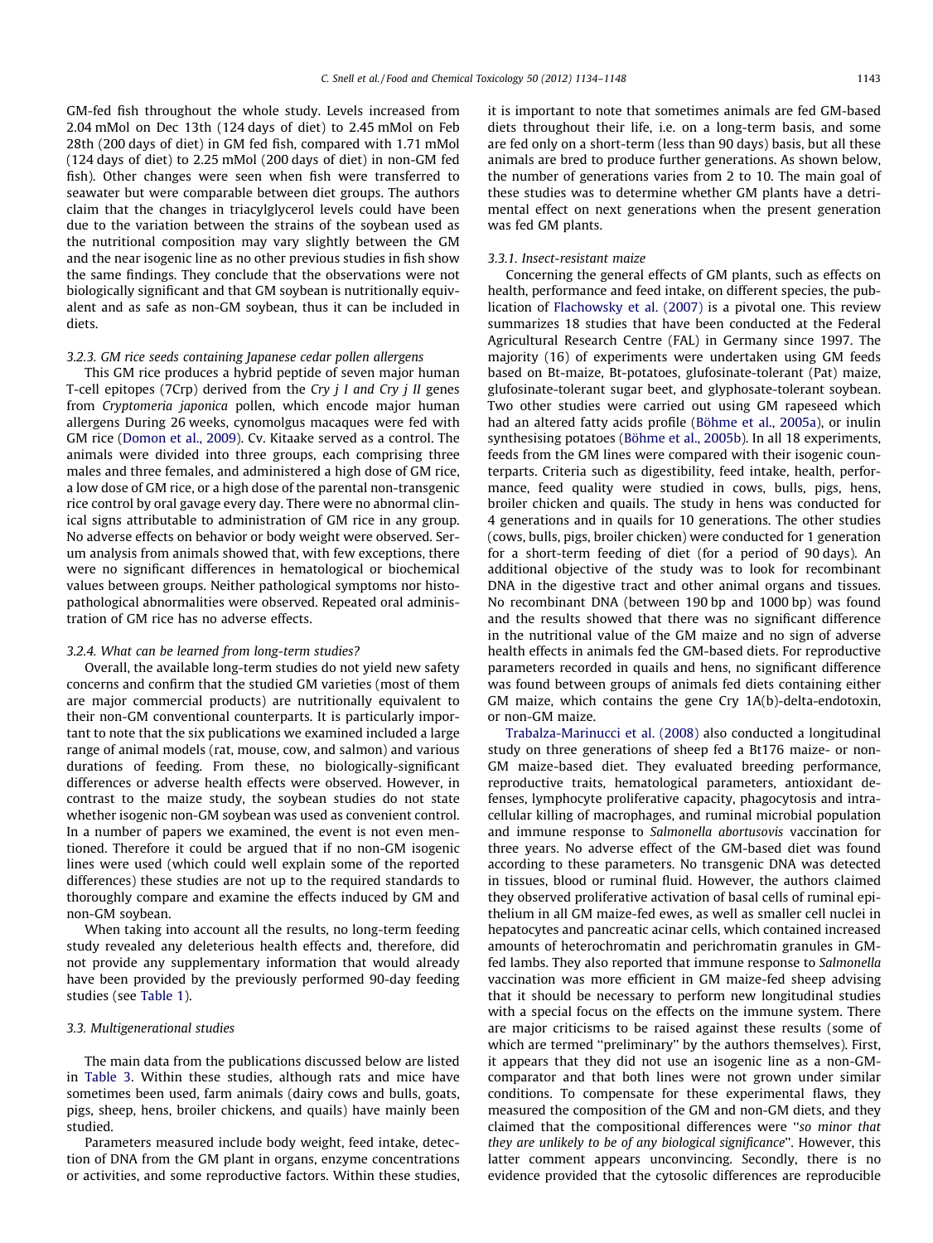GM-fed fish throughout the whole study. Levels increased from 2.04 mMol on Dec 13th (124 days of diet) to 2.45 mMol on Feb 28th (200 days of diet) in GM fed fish, compared with 1.71 mMol (124 days of diet) to 2.25 mMol (200 days of diet) in non-GM fed fish). Other changes were seen when fish were transferred to seawater but were comparable between diet groups. The authors claim that the changes in triacylglycerol levels could have been due to the variation between the strains of the soybean used as the nutritional composition may vary slightly between the GM and the near isogenic line as no other previous studies in fish show the same findings. They conclude that the observations were not biologically significant and that GM soybean is nutritionally equivalent and as safe as non-GM soybean, thus it can be included in diets.

#### 3.2.3. GM rice seeds containing Japanese cedar pollen allergens

This GM rice produces a hybrid peptide of seven major human T-cell epitopes (7Crp) derived from the Cry  $i$  I and Cry  $i$  II genes from Cryptomeria japonica pollen, which encode major human allergens During 26 weeks, cynomolgus macaques were fed with GM rice [\(Domon et al., 2009\)](#page-13-0). Cv. Kitaake served as a control. The animals were divided into three groups, each comprising three males and three females, and administered a high dose of GM rice, a low dose of GM rice, or a high dose of the parental non-transgenic rice control by oral gavage every day. There were no abnormal clinical signs attributable to administration of GM rice in any group. No adverse effects on behavior or body weight were observed. Serum analysis from animals showed that, with few exceptions, there were no significant differences in hematological or biochemical values between groups. Neither pathological symptoms nor histopathological abnormalities were observed. Repeated oral administration of GM rice has no adverse effects.

### 3.2.4. What can be learned from long-term studies?

Overall, the available long-term studies do not yield new safety concerns and confirm that the studied GM varieties (most of them are major commercial products) are nutritionally equivalent to their non-GM conventional counterparts. It is particularly important to note that the six publications we examined included a large range of animal models (rat, mouse, cow, and salmon) and various durations of feeding. From these, no biologically-significant differences or adverse health effects were observed. However, in contrast to the maize study, the soybean studies do not state whether isogenic non-GM soybean was used as convenient control. In a number of papers we examined, the event is not even mentioned. Therefore it could be argued that if no non-GM isogenic lines were used (which could well explain some of the reported differences) these studies are not up to the required standards to thoroughly compare and examine the effects induced by GM and non-GM soybean.

When taking into account all the results, no long-term feeding study revealed any deleterious health effects and, therefore, did not provide any supplementary information that would already have been provided by the previously performed 90-day feeding studies (see [Table 1\)](#page-2-0).

#### 3.3. Multigenerational studies

The main data from the publications discussed below are listed in [Table 3.](#page-5-0) Within these studies, although rats and mice have sometimes been used, farm animals (dairy cows and bulls, goats, pigs, sheep, hens, broiler chickens, and quails) have mainly been studied.

Parameters measured include body weight, feed intake, detection of DNA from the GM plant in organs, enzyme concentrations or activities, and some reproductive factors. Within these studies, it is important to note that sometimes animals are fed GM-based diets throughout their life, i.e. on a long-term basis, and some are fed only on a short-term (less than 90 days) basis, but all these animals are bred to produce further generations. As shown below, the number of generations varies from 2 to 10. The main goal of these studies was to determine whether GM plants have a detrimental effect on next generations when the present generation was fed GM plants.

#### 3.3.1. Insect-resistant maize

Concerning the general effects of GM plants, such as effects on health, performance and feed intake, on different species, the publication of [Flachowsky et al. \(2007\)](#page-13-0) is a pivotal one. This review summarizes 18 studies that have been conducted at the Federal Agricultural Research Centre (FAL) in Germany since 1997. The majority (16) of experiments were undertaken using GM feeds based on Bt-maize, Bt-potatoes, glufosinate-tolerant (Pat) maize, glufosinate-tolerant sugar beet, and glyphosate-tolerant soybean. Two other studies were carried out using GM rapeseed which had an altered fatty acids profile ([Böhme et al., 2005a](#page-13-0)), or inulin synthesising potatoes [\(Böhme et al., 2005b](#page-13-0)). In all 18 experiments, feeds from the GM lines were compared with their isogenic counterparts. Criteria such as digestibility, feed intake, health, performance, feed quality were studied in cows, bulls, pigs, hens, broiler chicken and quails. The study in hens was conducted for 4 generations and in quails for 10 generations. The other studies (cows, bulls, pigs, broiler chicken) were conducted for 1 generation for a short-term feeding of diet (for a period of 90 days). An additional objective of the study was to look for recombinant DNA in the digestive tract and other animal organs and tissues. No recombinant DNA (between 190 bp and 1000 bp) was found and the results showed that there was no significant difference in the nutritional value of the GM maize and no sign of adverse health effects in animals fed the GM-based diets. For reproductive parameters recorded in quails and hens, no significant difference was found between groups of animals fed diets containing either GM maize, which contains the gene Cry 1A(b)-delta-endotoxin, or non-GM maize.

[Trabalza-Marinucci et al. \(2008\)](#page-14-0) also conducted a longitudinal study on three generations of sheep fed a Bt176 maize- or non-GM maize-based diet. They evaluated breeding performance, reproductive traits, hematological parameters, antioxidant defenses, lymphocyte proliferative capacity, phagocytosis and intracellular killing of macrophages, and ruminal microbial population and immune response to Salmonella abortusovis vaccination for three years. No adverse effect of the GM-based diet was found according to these parameters. No transgenic DNA was detected in tissues, blood or ruminal fluid. However, the authors claimed they observed proliferative activation of basal cells of ruminal epithelium in all GM maize-fed ewes, as well as smaller cell nuclei in hepatocytes and pancreatic acinar cells, which contained increased amounts of heterochromatin and perichromatin granules in GMfed lambs. They also reported that immune response to Salmonella vaccination was more efficient in GM maize-fed sheep advising that it should be necessary to perform new longitudinal studies with a special focus on the effects on the immune system. There are major criticisms to be raised against these results (some of which are termed ''preliminary'' by the authors themselves). First, it appears that they did not use an isogenic line as a non-GMcomparator and that both lines were not grown under similar conditions. To compensate for these experimental flaws, they measured the composition of the GM and non-GM diets, and they claimed that the compositional differences were ''so minor that they are unlikely to be of any biological significance''. However, this latter comment appears unconvincing. Secondly, there is no evidence provided that the cytosolic differences are reproducible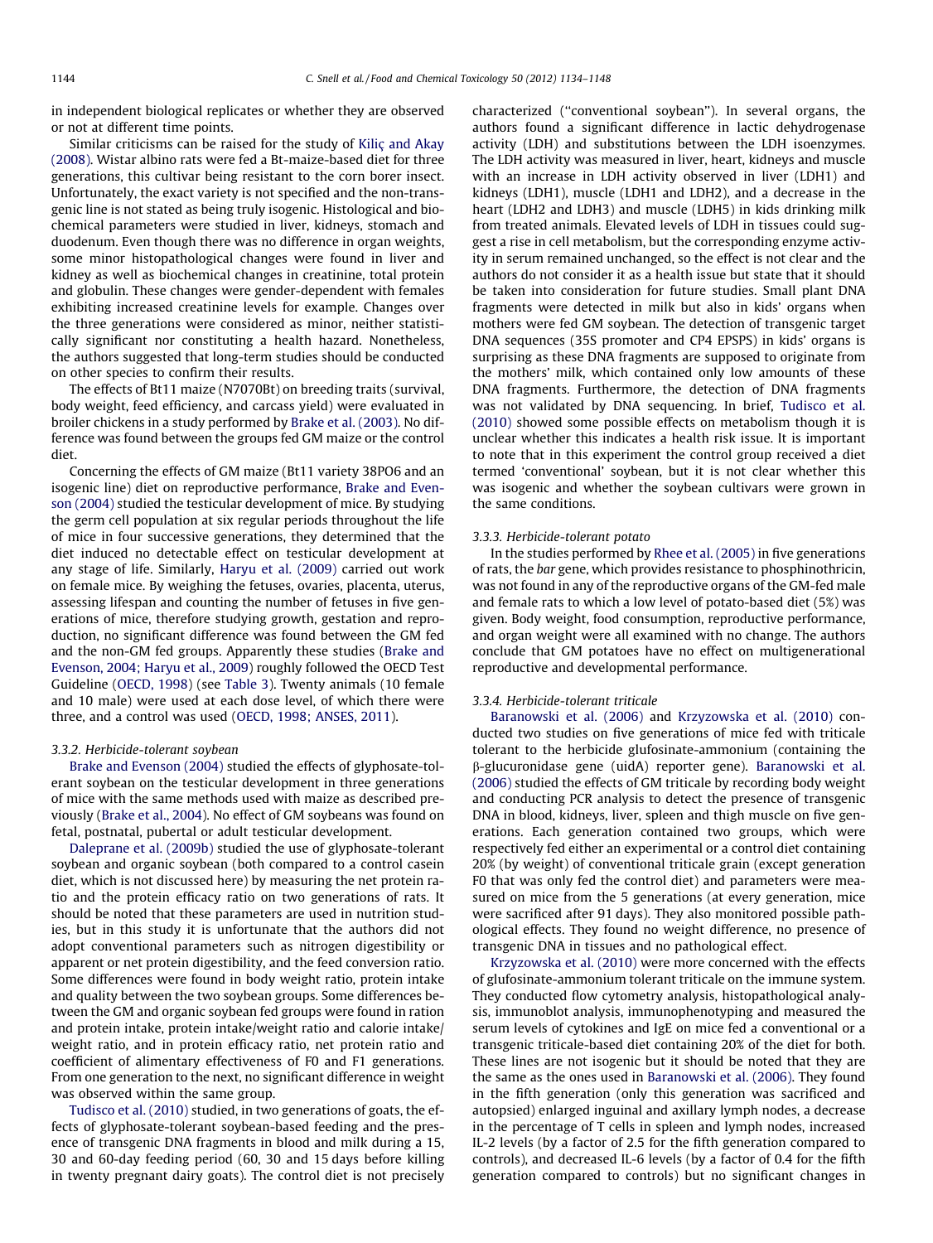in independent biological replicates or whether they are observed or not at different time points.

Similar criticisms can be raised for the study of [Kiliç and Akay](#page-13-0) [\(2008\).](#page-13-0) Wistar albino rats were fed a Bt-maize-based diet for three generations, this cultivar being resistant to the corn borer insect. Unfortunately, the exact variety is not specified and the non-transgenic line is not stated as being truly isogenic. Histological and biochemical parameters were studied in liver, kidneys, stomach and duodenum. Even though there was no difference in organ weights, some minor histopathological changes were found in liver and kidney as well as biochemical changes in creatinine, total protein and globulin. These changes were gender-dependent with females exhibiting increased creatinine levels for example. Changes over the three generations were considered as minor, neither statistically significant nor constituting a health hazard. Nonetheless, the authors suggested that long-term studies should be conducted on other species to confirm their results.

The effects of Bt11 maize (N7070Bt) on breeding traits (survival, body weight, feed efficiency, and carcass yield) were evaluated in broiler chickens in a study performed by [Brake et al. \(2003\).](#page-13-0) No difference was found between the groups fed GM maize or the control diet.

Concerning the effects of GM maize (Bt11 variety 38PO6 and an isogenic line) diet on reproductive performance, [Brake and Even](#page-13-0)[son \(2004\)](#page-13-0) studied the testicular development of mice. By studying the germ cell population at six regular periods throughout the life of mice in four successive generations, they determined that the diet induced no detectable effect on testicular development at any stage of life. Similarly, [Haryu et al. \(2009\)](#page-13-0) carried out work on female mice. By weighing the fetuses, ovaries, placenta, uterus, assessing lifespan and counting the number of fetuses in five generations of mice, therefore studying growth, gestation and reproduction, no significant difference was found between the GM fed and the non-GM fed groups. Apparently these studies [\(Brake and](#page-13-0) [Evenson, 2004; Haryu et al., 2009\)](#page-13-0) roughly followed the OECD Test Guideline [\(OECD, 1998\)](#page-13-0) (see [Table 3\)](#page-5-0). Twenty animals (10 female and 10 male) were used at each dose level, of which there were three, and a control was used [\(OECD, 1998; ANSES, 2011\)](#page-13-0).

#### 3.3.2. Herbicide-tolerant soybean

[Brake and Evenson \(2004\)](#page-13-0) studied the effects of glyphosate-tolerant soybean on the testicular development in three generations of mice with the same methods used with maize as described previously ([Brake et al., 2004](#page-13-0)). No effect of GM soybeans was found on fetal, postnatal, pubertal or adult testicular development.

[Daleprane et al. \(2009b\)](#page-13-0) studied the use of glyphosate-tolerant soybean and organic soybean (both compared to a control casein diet, which is not discussed here) by measuring the net protein ratio and the protein efficacy ratio on two generations of rats. It should be noted that these parameters are used in nutrition studies, but in this study it is unfortunate that the authors did not adopt conventional parameters such as nitrogen digestibility or apparent or net protein digestibility, and the feed conversion ratio. Some differences were found in body weight ratio, protein intake and quality between the two soybean groups. Some differences between the GM and organic soybean fed groups were found in ration and protein intake, protein intake/weight ratio and calorie intake/ weight ratio, and in protein efficacy ratio, net protein ratio and coefficient of alimentary effectiveness of F0 and F1 generations. From one generation to the next, no significant difference in weight was observed within the same group.

[Tudisco et al. \(2010\)](#page-14-0) studied, in two generations of goats, the effects of glyphosate-tolerant soybean-based feeding and the presence of transgenic DNA fragments in blood and milk during a 15, 30 and 60-day feeding period (60, 30 and 15 days before killing in twenty pregnant dairy goats). The control diet is not precisely

characterized (''conventional soybean''). In several organs, the authors found a significant difference in lactic dehydrogenase activity (LDH) and substitutions between the LDH isoenzymes. The LDH activity was measured in liver, heart, kidneys and muscle with an increase in LDH activity observed in liver (LDH1) and kidneys (LDH1), muscle (LDH1 and LDH2), and a decrease in the heart (LDH2 and LDH3) and muscle (LDH5) in kids drinking milk from treated animals. Elevated levels of LDH in tissues could suggest a rise in cell metabolism, but the corresponding enzyme activity in serum remained unchanged, so the effect is not clear and the authors do not consider it as a health issue but state that it should be taken into consideration for future studies. Small plant DNA fragments were detected in milk but also in kids' organs when mothers were fed GM soybean. The detection of transgenic target DNA sequences (35S promoter and CP4 EPSPS) in kids' organs is surprising as these DNA fragments are supposed to originate from the mothers' milk, which contained only low amounts of these DNA fragments. Furthermore, the detection of DNA fragments was not validated by DNA sequencing. In brief, [Tudisco et al.](#page-14-0) [\(2010\)](#page-14-0) showed some possible effects on metabolism though it is unclear whether this indicates a health risk issue. It is important to note that in this experiment the control group received a diet termed 'conventional' soybean, but it is not clear whether this was isogenic and whether the soybean cultivars were grown in the same conditions.

#### 3.3.3. Herbicide-tolerant potato

In the studies performed by [Rhee et al. \(2005\)](#page-13-0) in five generations of rats, the bar gene, which provides resistance to phosphinothricin, was not found in any of the reproductive organs of the GM-fed male and female rats to which a low level of potato-based diet (5%) was given. Body weight, food consumption, reproductive performance, and organ weight were all examined with no change. The authors conclude that GM potatoes have no effect on multigenerational reproductive and developmental performance.

### 3.3.4. Herbicide-tolerant triticale

[Baranowski et al. \(2006\)](#page-13-0) and [Krzyzowska et al. \(2010\)](#page-13-0) conducted two studies on five generations of mice fed with triticale tolerant to the herbicide glufosinate-ammonium (containing the b-glucuronidase gene (uidA) reporter gene). [Baranowski et al.](#page-13-0) [\(2006\)](#page-13-0) studied the effects of GM triticale by recording body weight and conducting PCR analysis to detect the presence of transgenic DNA in blood, kidneys, liver, spleen and thigh muscle on five generations. Each generation contained two groups, which were respectively fed either an experimental or a control diet containing 20% (by weight) of conventional triticale grain (except generation F0 that was only fed the control diet) and parameters were measured on mice from the 5 generations (at every generation, mice were sacrificed after 91 days). They also monitored possible pathological effects. They found no weight difference, no presence of transgenic DNA in tissues and no pathological effect.

[Krzyzowska et al. \(2010\)](#page-13-0) were more concerned with the effects of glufosinate-ammonium tolerant triticale on the immune system. They conducted flow cytometry analysis, histopathological analysis, immunoblot analysis, immunophenotyping and measured the serum levels of cytokines and IgE on mice fed a conventional or a transgenic triticale-based diet containing 20% of the diet for both. These lines are not isogenic but it should be noted that they are the same as the ones used in [Baranowski et al. \(2006\).](#page-13-0) They found in the fifth generation (only this generation was sacrificed and autopsied) enlarged inguinal and axillary lymph nodes, a decrease in the percentage of T cells in spleen and lymph nodes, increased IL-2 levels (by a factor of 2.5 for the fifth generation compared to controls), and decreased IL-6 levels (by a factor of 0.4 for the fifth generation compared to controls) but no significant changes in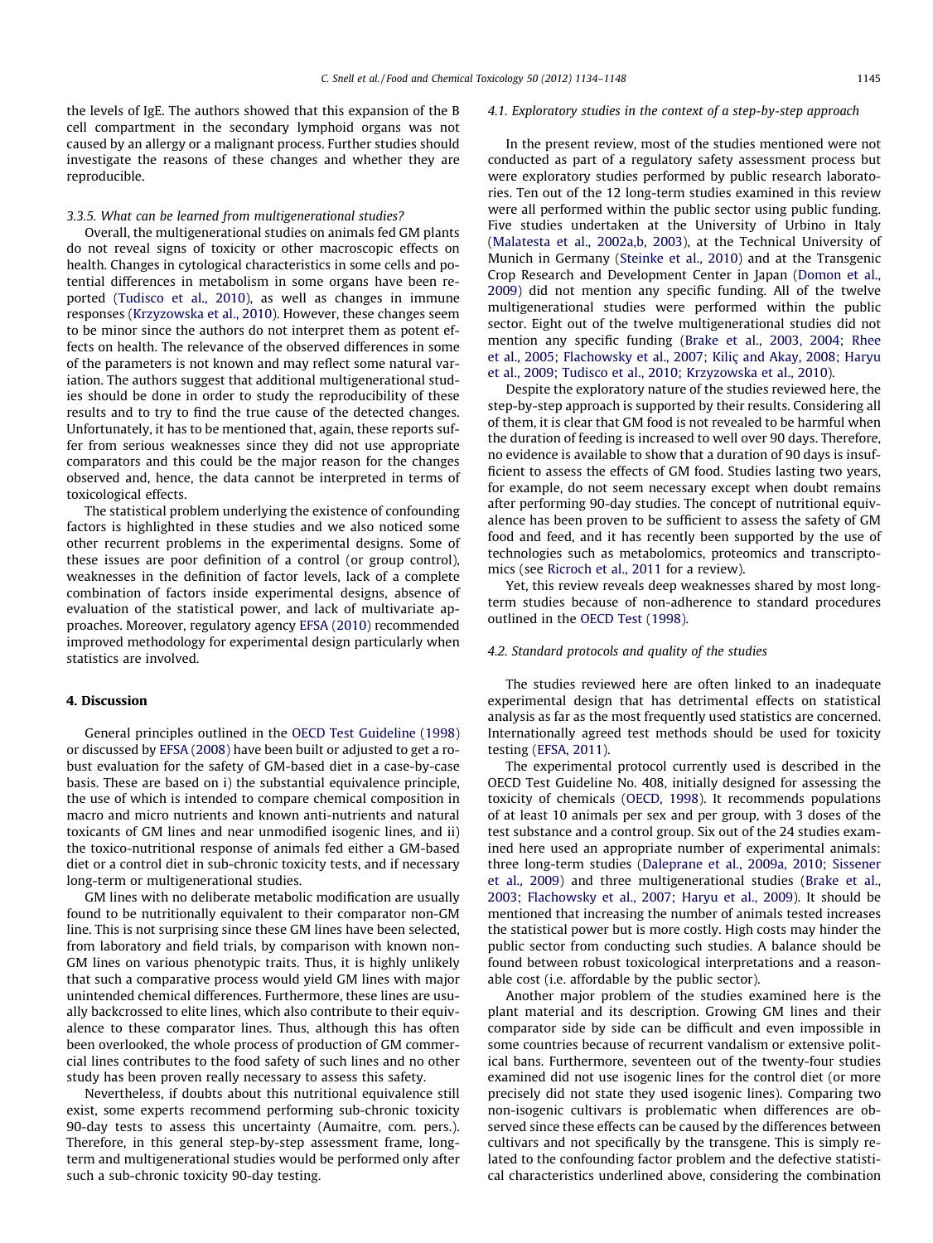the levels of IgE. The authors showed that this expansion of the B cell compartment in the secondary lymphoid organs was not caused by an allergy or a malignant process. Further studies should investigate the reasons of these changes and whether they are reproducible.

#### 3.3.5. What can be learned from multigenerational studies?

Overall, the multigenerational studies on animals fed GM plants do not reveal signs of toxicity or other macroscopic effects on health. Changes in cytological characteristics in some cells and potential differences in metabolism in some organs have been reported ([Tudisco et al., 2010\)](#page-14-0), as well as changes in immune responses ([Krzyzowska et al., 2010\)](#page-13-0). However, these changes seem to be minor since the authors do not interpret them as potent effects on health. The relevance of the observed differences in some of the parameters is not known and may reflect some natural variation. The authors suggest that additional multigenerational studies should be done in order to study the reproducibility of these results and to try to find the true cause of the detected changes. Unfortunately, it has to be mentioned that, again, these reports suffer from serious weaknesses since they did not use appropriate comparators and this could be the major reason for the changes observed and, hence, the data cannot be interpreted in terms of toxicological effects.

The statistical problem underlying the existence of confounding factors is highlighted in these studies and we also noticed some other recurrent problems in the experimental designs. Some of these issues are poor definition of a control (or group control), weaknesses in the definition of factor levels, lack of a complete combination of factors inside experimental designs, absence of evaluation of the statistical power, and lack of multivariate approaches. Moreover, regulatory agency [EFSA \(2010\)](#page-13-0) recommended improved methodology for experimental design particularly when statistics are involved.

### 4. Discussion

General principles outlined in the [OECD Test Guideline \(1998\)](#page-13-0) or discussed by [EFSA \(2008\)](#page-13-0) have been built or adjusted to get a robust evaluation for the safety of GM-based diet in a case-by-case basis. These are based on i) the substantial equivalence principle, the use of which is intended to compare chemical composition in macro and micro nutrients and known anti-nutrients and natural toxicants of GM lines and near unmodified isogenic lines, and ii) the toxico-nutritional response of animals fed either a GM-based diet or a control diet in sub-chronic toxicity tests, and if necessary long-term or multigenerational studies.

GM lines with no deliberate metabolic modification are usually found to be nutritionally equivalent to their comparator non-GM line. This is not surprising since these GM lines have been selected, from laboratory and field trials, by comparison with known non-GM lines on various phenotypic traits. Thus, it is highly unlikely that such a comparative process would yield GM lines with major unintended chemical differences. Furthermore, these lines are usually backcrossed to elite lines, which also contribute to their equivalence to these comparator lines. Thus, although this has often been overlooked, the whole process of production of GM commercial lines contributes to the food safety of such lines and no other study has been proven really necessary to assess this safety.

Nevertheless, if doubts about this nutritional equivalence still exist, some experts recommend performing sub-chronic toxicity 90-day tests to assess this uncertainty (Aumaitre, com. pers.). Therefore, in this general step-by-step assessment frame, longterm and multigenerational studies would be performed only after such a sub-chronic toxicity 90-day testing.

#### 4.1. Exploratory studies in the context of a step-by-step approach

In the present review, most of the studies mentioned were not conducted as part of a regulatory safety assessment process but were exploratory studies performed by public research laboratories. Ten out of the 12 long-term studies examined in this review were all performed within the public sector using public funding. Five studies undertaken at the University of Urbino in Italy ([Malatesta et al., 2002a,b, 2003\)](#page-13-0), at the Technical University of Munich in Germany [\(Steinke et al., 2010](#page-14-0)) and at the Transgenic Crop Research and Development Center in Japan ([Domon et al.,](#page-13-0) [2009](#page-13-0)) did not mention any specific funding. All of the twelve multigenerational studies were performed within the public sector. Eight out of the twelve multigenerational studies did not mention any specific funding [\(Brake et al., 2003, 2004; Rhee](#page-13-0) [et al., 2005; Flachowsky et al., 2007; Kiliç and Akay, 2008; Haryu](#page-13-0) [et al., 2009; Tudisco et al., 2010; Krzyzowska et al., 2010](#page-13-0)).

Despite the exploratory nature of the studies reviewed here, the step-by-step approach is supported by their results. Considering all of them, it is clear that GM food is not revealed to be harmful when the duration of feeding is increased to well over 90 days. Therefore, no evidence is available to show that a duration of 90 days is insufficient to assess the effects of GM food. Studies lasting two years, for example, do not seem necessary except when doubt remains after performing 90-day studies. The concept of nutritional equivalence has been proven to be sufficient to assess the safety of GM food and feed, and it has recently been supported by the use of technologies such as metabolomics, proteomics and transcriptomics (see [Ricroch et al., 2011](#page-14-0) for a review).

Yet, this review reveals deep weaknesses shared by most longterm studies because of non-adherence to standard procedures outlined in the [OECD Test \(1998\).](#page-13-0)

#### 4.2. Standard protocols and quality of the studies

The studies reviewed here are often linked to an inadequate experimental design that has detrimental effects on statistical analysis as far as the most frequently used statistics are concerned. Internationally agreed test methods should be used for toxicity testing [\(EFSA, 2011\)](#page-13-0).

The experimental protocol currently used is described in the OECD Test Guideline No. 408, initially designed for assessing the toxicity of chemicals [\(OECD, 1998](#page-13-0)). It recommends populations of at least 10 animals per sex and per group, with 3 doses of the test substance and a control group. Six out of the 24 studies examined here used an appropriate number of experimental animals: three long-term studies [\(Daleprane et al., 2009a, 2010; Sissener](#page-13-0) [et al., 2009](#page-13-0)) and three multigenerational studies [\(Brake et al.,](#page-13-0) [2003; Flachowsky et al., 2007; Haryu et al., 2009](#page-13-0)). It should be mentioned that increasing the number of animals tested increases the statistical power but is more costly. High costs may hinder the public sector from conducting such studies. A balance should be found between robust toxicological interpretations and a reasonable cost (i.e. affordable by the public sector).

Another major problem of the studies examined here is the plant material and its description. Growing GM lines and their comparator side by side can be difficult and even impossible in some countries because of recurrent vandalism or extensive political bans. Furthermore, seventeen out of the twenty-four studies examined did not use isogenic lines for the control diet (or more precisely did not state they used isogenic lines). Comparing two non-isogenic cultivars is problematic when differences are observed since these effects can be caused by the differences between cultivars and not specifically by the transgene. This is simply related to the confounding factor problem and the defective statistical characteristics underlined above, considering the combination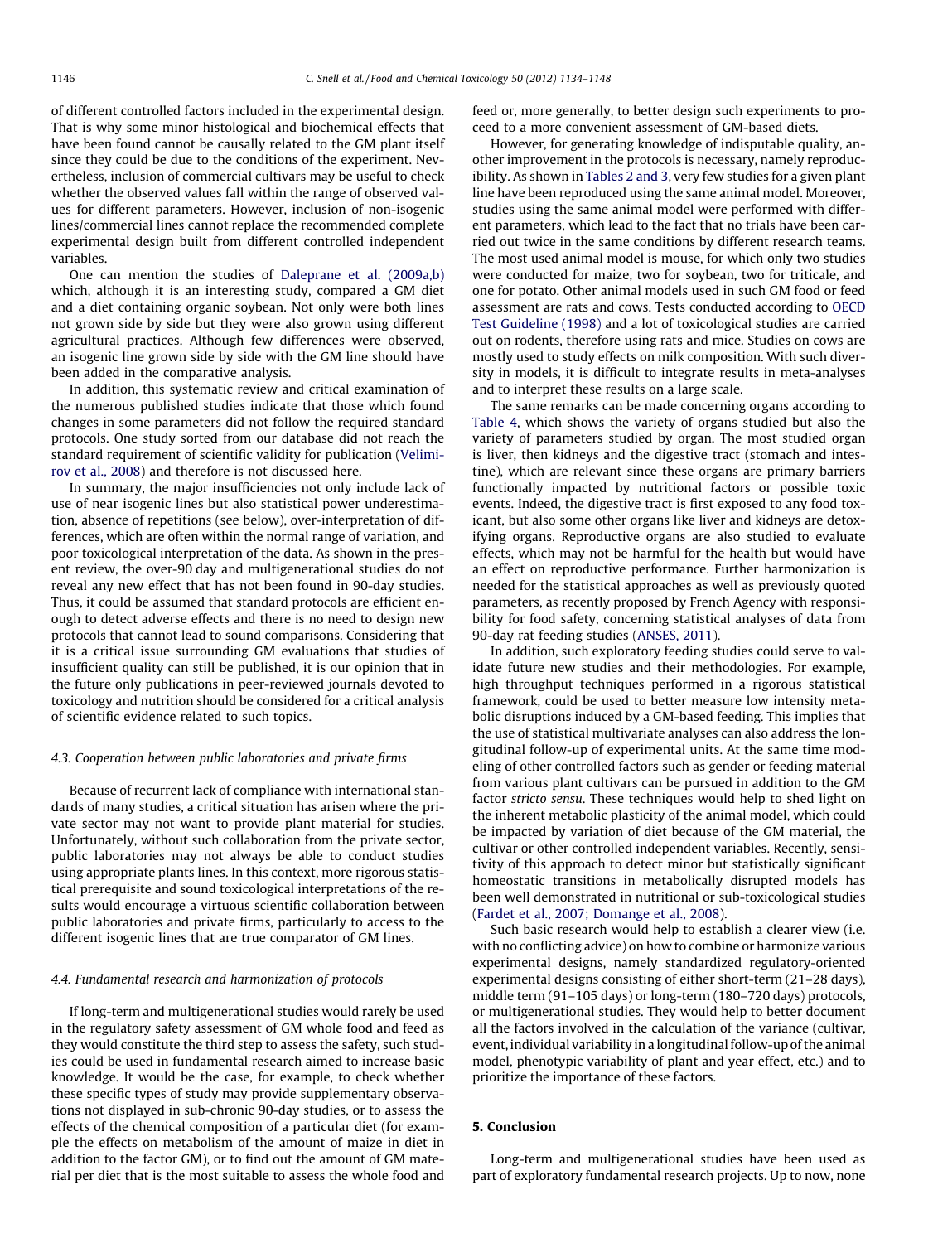of different controlled factors included in the experimental design. That is why some minor histological and biochemical effects that have been found cannot be causally related to the GM plant itself since they could be due to the conditions of the experiment. Nevertheless, inclusion of commercial cultivars may be useful to check whether the observed values fall within the range of observed values for different parameters. However, inclusion of non-isogenic lines/commercial lines cannot replace the recommended complete experimental design built from different controlled independent variables.

One can mention the studies of [Daleprane et al. \(2009a,b\)](#page-13-0) which, although it is an interesting study, compared a GM diet and a diet containing organic soybean. Not only were both lines not grown side by side but they were also grown using different agricultural practices. Although few differences were observed, an isogenic line grown side by side with the GM line should have been added in the comparative analysis.

In addition, this systematic review and critical examination of the numerous published studies indicate that those which found changes in some parameters did not follow the required standard protocols. One study sorted from our database did not reach the standard requirement of scientific validity for publication ([Velimi](#page-14-0)[rov et al., 2008\)](#page-14-0) and therefore is not discussed here.

In summary, the major insufficiencies not only include lack of use of near isogenic lines but also statistical power underestimation, absence of repetitions (see below), over-interpretation of differences, which are often within the normal range of variation, and poor toxicological interpretation of the data. As shown in the present review, the over-90 day and multigenerational studies do not reveal any new effect that has not been found in 90-day studies. Thus, it could be assumed that standard protocols are efficient enough to detect adverse effects and there is no need to design new protocols that cannot lead to sound comparisons. Considering that it is a critical issue surrounding GM evaluations that studies of insufficient quality can still be published, it is our opinion that in the future only publications in peer-reviewed journals devoted to toxicology and nutrition should be considered for a critical analysis of scientific evidence related to such topics.

#### 4.3. Cooperation between public laboratories and private firms

Because of recurrent lack of compliance with international standards of many studies, a critical situation has arisen where the private sector may not want to provide plant material for studies. Unfortunately, without such collaboration from the private sector, public laboratories may not always be able to conduct studies using appropriate plants lines. In this context, more rigorous statistical prerequisite and sound toxicological interpretations of the results would encourage a virtuous scientific collaboration between public laboratories and private firms, particularly to access to the different isogenic lines that are true comparator of GM lines.

#### 4.4. Fundamental research and harmonization of protocols

If long-term and multigenerational studies would rarely be used in the regulatory safety assessment of GM whole food and feed as they would constitute the third step to assess the safety, such studies could be used in fundamental research aimed to increase basic knowledge. It would be the case, for example, to check whether these specific types of study may provide supplementary observations not displayed in sub-chronic 90-day studies, or to assess the effects of the chemical composition of a particular diet (for example the effects on metabolism of the amount of maize in diet in addition to the factor GM), or to find out the amount of GM material per diet that is the most suitable to assess the whole food and feed or, more generally, to better design such experiments to proceed to a more convenient assessment of GM-based diets.

However, for generating knowledge of indisputable quality, another improvement in the protocols is necessary, namely reproducibility. As shown in [Tables 2 and 3,](#page-3-0) very few studies for a given plant line have been reproduced using the same animal model. Moreover, studies using the same animal model were performed with different parameters, which lead to the fact that no trials have been carried out twice in the same conditions by different research teams. The most used animal model is mouse, for which only two studies were conducted for maize, two for soybean, two for triticale, and one for potato. Other animal models used in such GM food or feed assessment are rats and cows. Tests conducted according to [OECD](#page-13-0) [Test Guideline \(1998\)](#page-13-0) and a lot of toxicological studies are carried out on rodents, therefore using rats and mice. Studies on cows are mostly used to study effects on milk composition. With such diversity in models, it is difficult to integrate results in meta-analyses and to interpret these results on a large scale.

The same remarks can be made concerning organs according to [Table 4](#page-7-0), which shows the variety of organs studied but also the variety of parameters studied by organ. The most studied organ is liver, then kidneys and the digestive tract (stomach and intestine), which are relevant since these organs are primary barriers functionally impacted by nutritional factors or possible toxic events. Indeed, the digestive tract is first exposed to any food toxicant, but also some other organs like liver and kidneys are detoxifying organs. Reproductive organs are also studied to evaluate effects, which may not be harmful for the health but would have an effect on reproductive performance. Further harmonization is needed for the statistical approaches as well as previously quoted parameters, as recently proposed by French Agency with responsibility for food safety, concerning statistical analyses of data from 90-day rat feeding studies [\(ANSES, 2011](#page-13-0)).

In addition, such exploratory feeding studies could serve to validate future new studies and their methodologies. For example, high throughput techniques performed in a rigorous statistical framework, could be used to better measure low intensity metabolic disruptions induced by a GM-based feeding. This implies that the use of statistical multivariate analyses can also address the longitudinal follow-up of experimental units. At the same time modeling of other controlled factors such as gender or feeding material from various plant cultivars can be pursued in addition to the GM factor stricto sensu. These techniques would help to shed light on the inherent metabolic plasticity of the animal model, which could be impacted by variation of diet because of the GM material, the cultivar or other controlled independent variables. Recently, sensitivity of this approach to detect minor but statistically significant homeostatic transitions in metabolically disrupted models has been well demonstrated in nutritional or sub-toxicological studies ([Fardet et al., 2007; Domange et al., 2008\)](#page-13-0).

Such basic research would help to establish a clearer view (i.e. with no conflicting advice) on how to combine or harmonize various experimental designs, namely standardized regulatory-oriented experimental designs consisting of either short-term (21–28 days), middle term (91–105 days) or long-term (180–720 days) protocols, or multigenerational studies. They would help to better document all the factors involved in the calculation of the variance (cultivar, event, individual variability in a longitudinal follow-up of the animal model, phenotypic variability of plant and year effect, etc.) and to prioritize the importance of these factors.

## 5. Conclusion

Long-term and multigenerational studies have been used as part of exploratory fundamental research projects. Up to now, none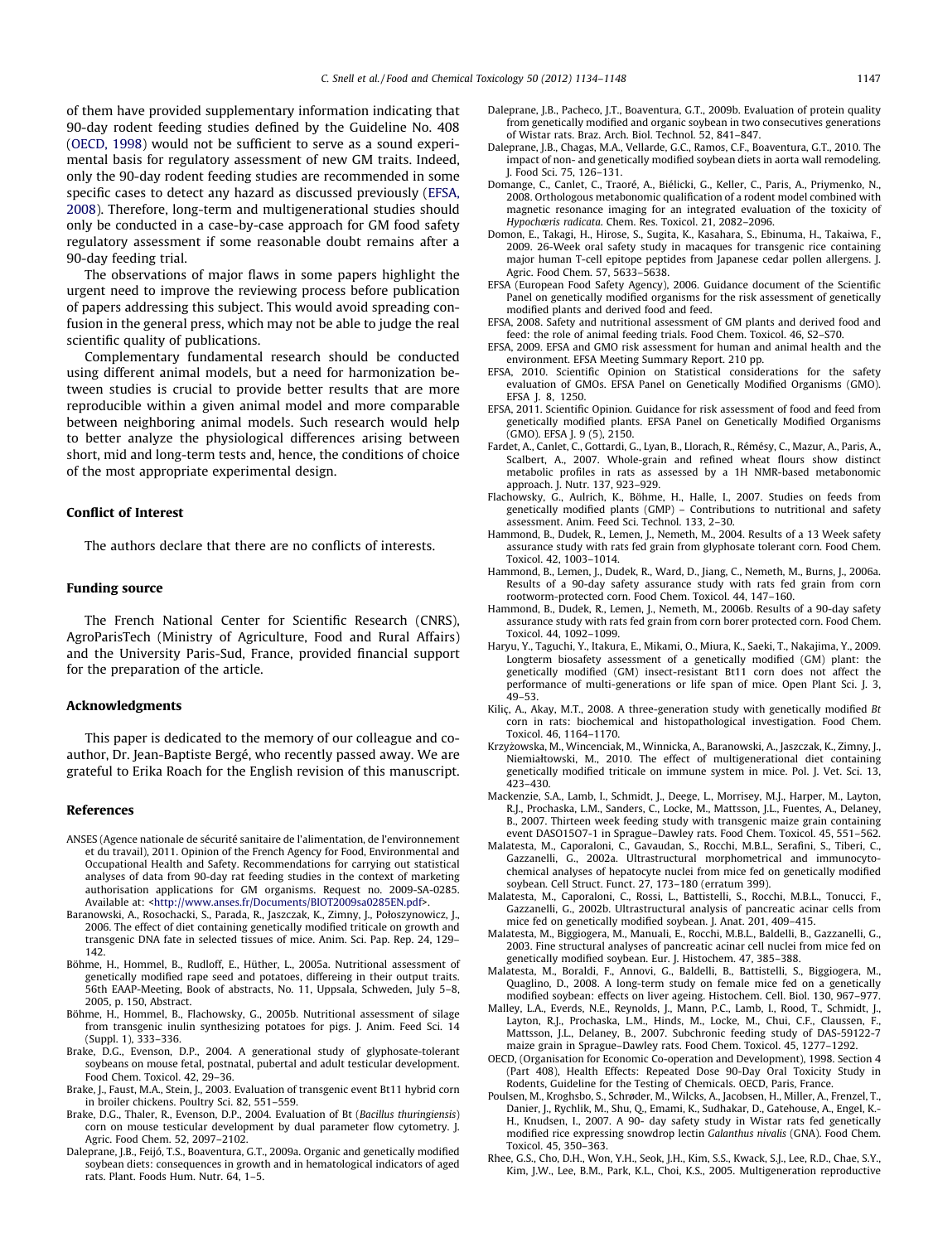<span id="page-13-0"></span>of them have provided supplementary information indicating that 90-day rodent feeding studies defined by the Guideline No. 408 (OECD, 1998) would not be sufficient to serve as a sound experimental basis for regulatory assessment of new GM traits. Indeed, only the 90-day rodent feeding studies are recommended in some specific cases to detect any hazard as discussed previously (EFSA, 2008). Therefore, long-term and multigenerational studies should only be conducted in a case-by-case approach for GM food safety regulatory assessment if some reasonable doubt remains after a 90-day feeding trial.

The observations of major flaws in some papers highlight the urgent need to improve the reviewing process before publication of papers addressing this subject. This would avoid spreading confusion in the general press, which may not be able to judge the real scientific quality of publications.

Complementary fundamental research should be conducted using different animal models, but a need for harmonization between studies is crucial to provide better results that are more reproducible within a given animal model and more comparable between neighboring animal models. Such research would help to better analyze the physiological differences arising between short, mid and long-term tests and, hence, the conditions of choice of the most appropriate experimental design.

#### Conflict of Interest

The authors declare that there are no conflicts of interests.

### Funding source

The French National Center for Scientific Research (CNRS), AgroParisTech (Ministry of Agriculture, Food and Rural Affairs) and the University Paris-Sud, France, provided financial support for the preparation of the article.

#### Acknowledgments

This paper is dedicated to the memory of our colleague and coauthor, Dr. Jean-Baptiste Bergé, who recently passed away. We are grateful to Erika Roach for the English revision of this manuscript.

## References

- ANSES (Agence nationale de sécurité sanitaire de l'alimentation, de l'environnement et du travail), 2011. Opinion of the French Agency for Food, Environmental and Occupational Health and Safety. Recommendations for carrying out statistical analyses of data from 90-day rat feeding studies in the context of marketing authorisation applications for GM organisms. Request no. 2009-SA-0285. Available at: [<http://www.anses.fr/Documents/BIOT2009sa0285EN.pdf](http://www.anses.fr/Documents/BIOT2009sa0285EN.pdf)>.
- Baranowski, A., Rosochacki, S., Parada, R., Jaszczak, K., Zimny, J., Połoszynowicz, J., 2006. The effect of diet containing genetically modified triticale on growth and transgenic DNA fate in selected tissues of mice. Anim. Sci. Pap. Rep. 24, 129– 142.
- Böhme, H., Hommel, B., Rudloff, E., Hüther, L., 2005a. Nutritional assessment of genetically modified rape seed and potatoes, differeing in their output traits. 56th EAAP-Meeting, Book of abstracts, No. 11, Uppsala, Schweden, July 5–8, 2005, p. 150, Abstract.
- Böhme, H., Hommel, B., Flachowsky, G., 2005b. Nutritional assessment of silage from transgenic inulin synthesizing potatoes for pigs. J. Anim. Feed Sci. 14 (Suppl. 1), 333–336.
- Brake, D.G., Evenson, D.P., 2004. A generational study of glyphosate-tolerant soybeans on mouse fetal, postnatal, pubertal and adult testicular development. Food Chem. Toxicol. 42, 29–36.
- Brake, J., Faust, M.A., Stein, J., 2003. Evaluation of transgenic event Bt11 hybrid corn in broiler chickens. Poultry Sci. 82, 551–559.
- Brake, D.G., Thaler, R., Evenson, D.P., 2004. Evaluation of Bt (Bacillus thuringiensis) corn on mouse testicular development by dual parameter flow cytometry. J. Agric. Food Chem. 52, 2097–2102.
- Daleprane, J.B., Feijó, T.S., Boaventura, G.T., 2009a. Organic and genetically modified soybean diets: consequences in growth and in hematological indicators of aged rats. Plant. Foods Hum. Nutr. 64, 1–5.
- Daleprane, J.B., Pacheco, J.T., Boaventura, G.T., 2009b. Evaluation of protein quality from genetically modified and organic soybean in two consecutives generations of Wistar rats. Braz. Arch. Biol. Technol. 52, 841–847.
- Daleprane, J.B., Chagas, M.A., Vellarde, G.C., Ramos, C.F., Boaventura, G.T., 2010. The impact of non- and genetically modified soybean diets in aorta wall remodeling. J. Food Sci. 75, 126–131.
- Domange, C., Canlet, C., Traoré, A., Biélicki, G., Keller, C., Paris, A., Priymenko, N., 2008. Orthologous metabonomic qualification of a rodent model combined with magnetic resonance imaging for an integrated evaluation of the toxicity of Hypochœris radicata. Chem. Res. Toxicol. 21, 2082–2096.
- Domon, E., Takagi, H., Hirose, S., Sugita, K., Kasahara, S., Ebinuma, H., Takaiwa, F., 2009. 26-Week oral safety study in macaques for transgenic rice containing major human T-cell epitope peptides from Japanese cedar pollen allergens. J. Agric. Food Chem. 57, 5633–5638.
- EFSA (European Food Safety Agency), 2006. Guidance document of the Scientific Panel on genetically modified organisms for the risk assessment of genetically modified plants and derived food and feed.
- EFSA, 2008. Safety and nutritional assessment of GM plants and derived food and feed: the role of animal feeding trials. Food Chem. Toxicol. 46, S2–S70.
- EFSA, 2009. EFSA and GMO risk assessment for human and animal health and the environment. EFSA Meeting Summary Report. 210 pp.
- EFSA, 2010. Scientific Opinion on Statistical considerations for the safety evaluation of GMOs. EFSA Panel on Genetically Modified Organisms (GMO). EFSA J. 8, 1250.
- EFSA, 2011. Scientific Opinion. Guidance for risk assessment of food and feed from genetically modified plants. EFSA Panel on Genetically Modified Organisms (GMO). EFSA J. 9 (5), 2150.
- Fardet, A., Canlet, C., Gottardi, G., Lyan, B., Llorach, R., Rémésy, C., Mazur, A., Paris, A., Scalbert, A., 2007. Whole-grain and refined wheat flours show distinct metabolic profiles in rats as assessed by a 1H NMR-based metabonomic approach. J. Nutr. 137, 923–929.
- Flachowsky, G., Aulrich, K., Böhme, H., Halle, I., 2007. Studies on feeds from genetically modified plants (GMP) – Contributions to nutritional and safety assessment. Anim. Feed Sci. Technol. 133, 2–30.
- Hammond, B., Dudek, R., Lemen, J., Nemeth, M., 2004. Results of a 13 Week safety assurance study with rats fed grain from glyphosate tolerant corn. Food Chem. Toxicol. 42, 1003–1014.
- Hammond, B., Lemen, J., Dudek, R., Ward, D., Jiang, C., Nemeth, M., Burns, J., 2006a. Results of a 90-day safety assurance study with rats fed grain from corn rootworm-protected corn. Food Chem. Toxicol. 44, 147–160.
- Hammond, B., Dudek, R., Lemen, J., Nemeth, M., 2006b. Results of a 90-day safety assurance study with rats fed grain from corn borer protected corn. Food Chem. Toxicol. 44, 1092–1099.
- Haryu, Y., Taguchi, Y., Itakura, E., Mikami, O., Miura, K., Saeki, T., Nakajima, Y., 2009. Longterm biosafety assessment of a genetically modified (GM) plant: the genetically modified (GM) insect-resistant Bt11 corn does not affect the performance of multi-generations or life span of mice. Open Plant Sci. J. 3, 49–53.
- Kiliç, A., Akay, M.T., 2008. A three-generation study with genetically modified Bt corn in rats: biochemical and histopathological investigation. Food Chem. Toxicol. 46, 1164–1170.
- Krzyzowska, M., Wincenciak, M., Winnicka, A., Baranowski, A., Jaszczak, K., Zimny, J., \_ Niemiałtowski, M., 2010. The effect of multigenerational diet containing genetically modified triticale on immune system in mice. Pol. J. Vet. Sci. 13, 423–430.
- Mackenzie, S.A., Lamb, I., Schmidt, J., Deege, L., Morrisey, M.J., Harper, M., Layton, R.J., Prochaska, L.M., Sanders, C., Locke, M., Mattsson, J.L., Fuentes, A., Delaney, B., 2007. Thirteen week feeding study with transgenic maize grain containing event DASO15O7-1 in Sprague–Dawley rats. Food Chem. Toxicol. 45, 551–562.
- Malatesta, M., Caporaloni, C., Gavaudan, S., Rocchi, M.B.L., Serafini, S., Tiberi, C., Gazzanelli, G., 2002a. Ultrastructural morphometrical and immunocytochemical analyses of hepatocyte nuclei from mice fed on genetically modified soybean. Cell Struct. Funct. 27, 173–180 (erratum 399).
- Malatesta, M., Caporaloni, C., Rossi, L., Battistelli, S., Rocchi, M.B.L., Tonucci, F., Gazzanelli, G., 2002b. Ultrastructural analysis of pancreatic acinar cells from mice fed on genetically modified soybean. J. Anat. 201, 409–415.
- Malatesta, M., Biggiogera, M., Manuali, E., Rocchi, M.B.L., Baldelli, B., Gazzanelli, G., 2003. Fine structural analyses of pancreatic acinar cell nuclei from mice fed on genetically modified soybean. Eur. J. Histochem. 47, 385–388.
- Malatesta, M., Boraldi, F., Annovi, G., Baldelli, B., Battistelli, S., Biggiogera, M., Quaglino, D., 2008. A long-term study on female mice fed on a genetically modified soybean: effects on liver ageing. Histochem. Cell. Biol. 130, 967–977.
- Malley, L.A., Everds, N.E., Reynolds, J., Mann, P.C., Lamb, I., Rood, T., Schmidt, J., Layton, R.J., Prochaska, L.M., Hinds, M., Locke, M., Chui, C.F., Claussen, F., Mattsson, J.L., Delaney, B., 2007. Subchronic feeding study of DAS-59122-7 maize grain in Sprague–Dawley rats. Food Chem. Toxicol. 45, 1277–1292.
- OECD, (Organisation for Economic Co-operation and Development), 1998. Section 4 (Part 408), Health Effects: Repeated Dose 90-Day Oral Toxicity Study in Rodents, Guideline for the Testing of Chemicals. OECD, Paris, France.
- Poulsen, M., Kroghsbo, S., Schrøder, M., Wilcks, A., Jacobsen, H., Miller, A., Frenzel, T., Danier, J., Rychlik, M., Shu, Q., Emami, K., Sudhakar, D., Gatehouse, A., Engel, K.- H., Knudsen, I., 2007. A 90- day safety study in Wistar rats fed genetically modified rice expressing snowdrop lectin Galanthus nivalis (GNA). Food Chem. Toxicol. 45, 350–363.
- Rhee, G.S., Cho, D.H., Won, Y.H., Seok, J.H., Kim, S.S., Kwack, S.J., Lee, R.D., Chae, S.Y., Kim, J.W., Lee, B.M., Park, K.L., Choi, K.S., 2005. Multigeneration reproductive